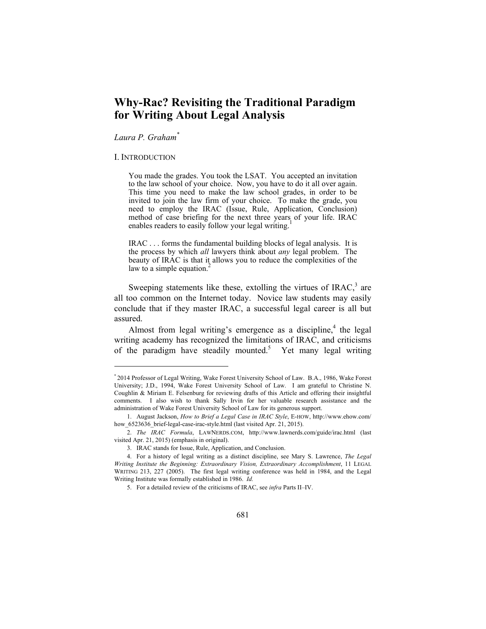# **Why-Rac? Revisiting the Traditional Paradigm for Writing About Legal Analysis**

*Laura P. Graham\**

### I. INTRODUCTION

 $\overline{\phantom{a}}$ 

You made the grades. You took the LSAT. You accepted an invitation to the law school of your choice. Now, you have to do it all over again. This time you need to make the law school grades, in order to be invited to join the law firm of your choice. To make the grade, you need to employ the IRAC (Issue, Rule, Application, Conclusion) method of case briefing for the next three years of your life. IRAC enables readers to easily follow your legal writing.1

IRAC . . . forms the fundamental building blocks of legal analysis. It is the process by which *all* lawyers think about *any* legal problem. The beauty of IRAC is that it allows you to reduce the complexities of the law to a simple equation.<sup>2</sup>

Sweeping statements like these, extolling the virtues of  $IRAC$ , are all too common on the Internet today. Novice law students may easily conclude that if they master IRAC, a successful legal career is all but assured.

Almost from legal writing's emergence as a discipline, $4$  the legal writing academy has recognized the limitations of IRAC, and criticisms of the paradigm have steadily mounted.<sup>5</sup> Yet many legal writing

<sup>\* 2014</sup> Professor of Legal Writing, Wake Forest University School of Law. B.A., 1986, Wake Forest University; J.D., 1994, Wake Forest University School of Law. I am grateful to Christine N. Coughlin & Miriam E. Felsenburg for reviewing drafts of this Article and offering their insightful comments. I also wish to thank Sally Irvin for her valuable research assistance and the administration of Wake Forest University School of Law for its generous support.

 <sup>1.</sup> August Jackson, *How to Brief a Legal Case in IRAC Style*, E-HOW, http://www.ehow.com/ how 6523636 brief-legal-case-irac-style.html (last visited Apr. 21, 2015).

 <sup>2.</sup> *The IRAC Formula*, LAWNERDS.COM, http://www.lawnerds.com/guide/irac.html (last visited Apr. 21, 2015) (emphasis in original).

 <sup>3.</sup> IRAC stands for Issue, Rule, Application, and Conclusion.

 <sup>4.</sup> For a history of legal writing as a distinct discipline, see Mary S. Lawrence, *The Legal Writing Institute the Beginning: Extraordinary Vision, Extraordinary Accomplishment*, 11 LEGAL WRITING 213, 227 (2005). The first legal writing conference was held in 1984, and the Legal Writing Institute was formally established in 1986. *Id.*

 <sup>5.</sup> For a detailed review of the criticisms of IRAC, see *infra* Parts II–IV.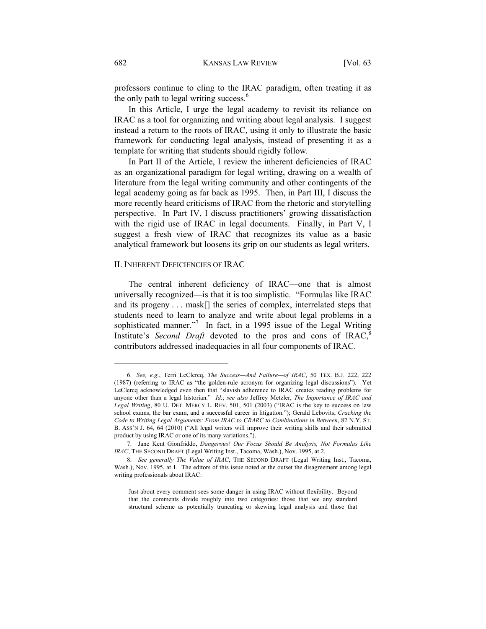professors continue to cling to the IRAC paradigm, often treating it as the only path to legal writing success.<sup>6</sup>

In this Article, I urge the legal academy to revisit its reliance on IRAC as a tool for organizing and writing about legal analysis. I suggest instead a return to the roots of IRAC, using it only to illustrate the basic framework for conducting legal analysis, instead of presenting it as a template for writing that students should rigidly follow*.*

In Part II of the Article, I review the inherent deficiencies of IRAC as an organizational paradigm for legal writing, drawing on a wealth of literature from the legal writing community and other contingents of the legal academy going as far back as 1995. Then, in Part III, I discuss the more recently heard criticisms of IRAC from the rhetoric and storytelling perspective. In Part IV, I discuss practitioners' growing dissatisfaction with the rigid use of IRAC in legal documents. Finally, in Part V, I suggest a fresh view of IRAC that recognizes its value as a basic analytical framework but loosens its grip on our students as legal writers.

## II. INHERENT DEFICIENCIES OF IRAC

The central inherent deficiency of IRAC—one that is almost universally recognized—is that it is too simplistic. "Formulas like IRAC and its progeny . . . mask and its progeneral the series of complex, interrelated steps that students need to learn to analyze and write about legal problems in a sophisticated manner."<sup>7</sup> In fact, in a 1995 issue of the Legal Writing Institute's *Second Draft* devoted to the pros and cons of IRAC,<sup>8</sup> contributors addressed inadequacies in all four components of IRAC.

 <sup>6.</sup> *See, e.g.*, Terri LeClercq, *The Success—And Failure—of IRAC*, 50 TEX. B.J. 222, 222 (1987) (referring to IRAC as "the golden-rule acronym for organizing legal discussions"). Yet LeClercq acknowledged even then that "slavish adherence to IRAC creates reading problems for anyone other than a legal historian." *Id.*; *see also* Jeffrey Metzler, *The Importance of IRAC and Legal Writing*, 80 U. DET. MERCY L. REV. 501, 501 (2003) ("IRAC is the key to success on law school exams, the bar exam, and a successful career in litigation."); Gerald Lebovits, *Cracking the Code to Writing Legal Arguments: From IRAC to CRARC to Combinations in Between*, 82 N.Y. ST. B. ASS'N J. 64, 64 (2010) ("All legal writers will improve their writing skills and their submitted product by using IRAC or one of its many variations.").

 <sup>7.</sup> Jane Kent Gionfriddo, *Dangerous! Our Focus Should Be Analysis, Not Formulas Like IRAC*, THE SECOND DRAFT (Legal Writing Inst., Tacoma, Wash.), Nov. 1995, at 2.

 <sup>8.</sup> *See generally The Value of IRAC*, THE SECOND DRAFT (Legal Writing Inst., Tacoma, Wash.), Nov. 1995, at 1. The editors of this issue noted at the outset the disagreement among legal writing professionals about IRAC:

Just about every comment sees some danger in using IRAC without flexibility. Beyond that the comments divide roughly into two categories: those that see any standard structural scheme as potentially truncating or skewing legal analysis and those that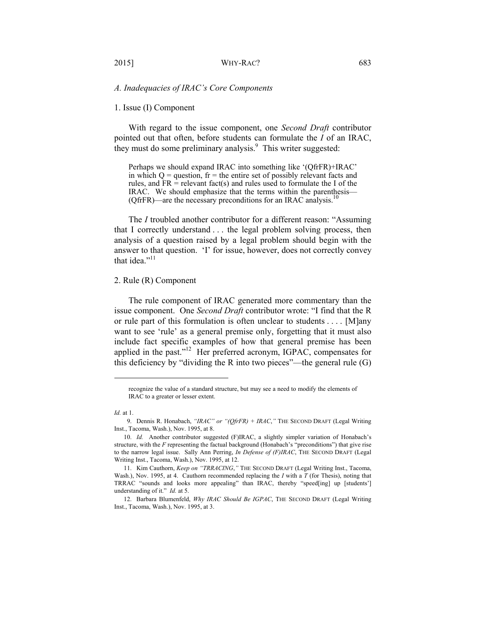### *A. Inadequacies of IRAC's Core Components*

### 1. Issue (I) Component

With regard to the issue component, one *Second Draft* contributor pointed out that often, before students can formulate the *I* of an IRAC, they must do some preliminary analysis. $\degree$  This writer suggested:

Perhaps we should expand IRAC into something like '(QfrFR)+IRAC' in which  $Q =$  question, fr  $=$  the entire set of possibly relevant facts and rules, and  $FR =$  relevant fact(s) and rules used to formulate the I of the IRAC. We should emphasize that the terms within the parenthesis—  $(Q$ fr $FR$ )—are the necessary preconditions for an IRAC analysis.

The *I* troubled another contributor for a different reason: "Assuming that I correctly understand . . . the legal problem solving process, then analysis of a question raised by a legal problem should begin with the answer to that question. 'I' for issue, however, does not correctly convey that idea." $11$ 

### 2. Rule (R) Component

The rule component of IRAC generated more commentary than the issue component. One *Second Draft* contributor wrote: "I find that the R or rule part of this formulation is often unclear to students . . . . [M]any want to see 'rule' as a general premise only, forgetting that it must also include fact specific examples of how that general premise has been applied in the past."12 Her preferred acronym, IGPAC, compensates for this deficiency by "dividing the R into two pieces"—the general rule (G)

*Id.* at 1.

recognize the value of a standard structure, but may see a need to modify the elements of IRAC to a greater or lesser extent.

 <sup>9.</sup> Dennis R. Honabach, *"IRAC" or "(QfrFR) + IRAC*,*"* THE SECOND DRAFT (Legal Writing Inst., Tacoma, Wash.), Nov. 1995, at 8.

 <sup>10.</sup> *Id.* Another contributor suggested (F)IRAC, a slightly simpler variation of Honabach's structure, with the *F* representing the factual background (Honabach's "preconditions") that give rise to the narrow legal issue. Sally Ann Perring, *In Defense of (F)IRAC*, THE SECOND DRAFT (Legal Writing Inst., Tacoma, Wash.), Nov. 1995, at 12.

 <sup>11.</sup> Kim Cauthorn, *Keep on "TRRACING*,*"* THE SECOND DRAFT (Legal Writing Inst., Tacoma, Wash.), Nov. 1995, at 4. Cauthorn recommended replacing the *I* with a *T* (for Thesis), noting that TRRAC "sounds and looks more appealing" than IRAC, thereby "speed[ing] up [students'] understanding of it." *Id.* at 5.

 <sup>12.</sup> Barbara Blumenfeld, *Why IRAC Should Be IGPAC*, THE SECOND DRAFT (Legal Writing Inst., Tacoma, Wash.), Nov. 1995, at 3.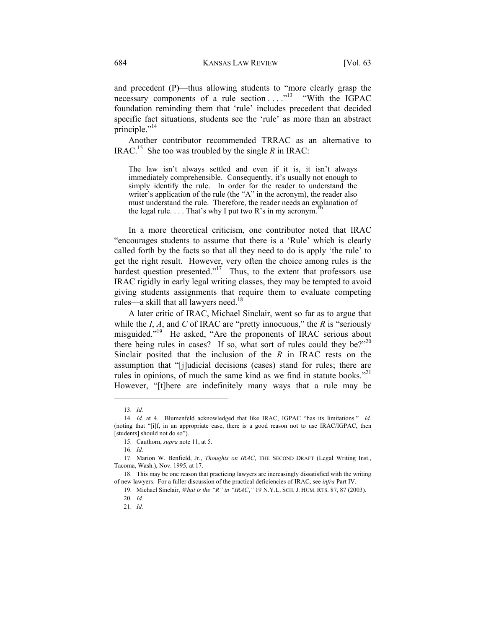and precedent (P)—thus allowing students to "more clearly grasp the necessary components of a rule section . . . .<sup>13</sup> "With the IGPAC foundation reminding them that 'rule' includes precedent that decided specific fact situations, students see the 'rule' as more than an abstract principle."<sup>14</sup>

Another contributor recommended TRRAC as an alternative to IRAC.<sup>15</sup> She too was troubled by the single  $R$  in IRAC:

The law isn't always settled and even if it is, it isn't always immediately comprehensible. Consequently, it's usually not enough to simply identify the rule. In order for the reader to understand the writer's application of the rule (the "A" in the acronym), the reader also must understand the rule. Therefore, the reader needs an explanation of the legal rule.  $\dots$  That's why I put two R's in my acronym.

In a more theoretical criticism, one contributor noted that IRAC "encourages students to assume that there is a 'Rule' which is clearly called forth by the facts so that all they need to do is apply 'the rule' to get the right result. However, very often the choice among rules is the hardest question presented."<sup>17</sup> Thus, to the extent that professors use IRAC rigidly in early legal writing classes, they may be tempted to avoid giving students assignments that require them to evaluate competing rules—a skill that all lawyers need.<sup>18</sup>

A later critic of IRAC, Michael Sinclair, went so far as to argue that while the *I*, *A*, and *C* of IRAC are "pretty innocuous," the *R* is "seriously misguided."<sup>19</sup> He asked, "Are the proponents of IRAC serious about there being rules in cases? If so, what sort of rules could they be? $120$ Sinclair posited that the inclusion of the *R* in IRAC rests on the assumption that "[j]udicial decisions (cases) stand for rules; there are rules in opinions, of much the same kind as we find in statute books."<sup>21</sup> However, "[t]here are indefinitely many ways that a rule may be

 <sup>13.</sup> *Id.*

 <sup>14.</sup> *Id.* at 4. Blumenfeld acknowledged that like IRAC, IGPAC "has its limitations." *Id.* (noting that "[i]f, in an appropriate case, there is a good reason not to use IRAC/IGPAC, then [students] should not do so").

 <sup>15.</sup> Cauthorn, *supra* note 11, at 5.

 <sup>16.</sup> *Id.*

 <sup>17.</sup> Marion W. Benfield, Jr., *Thoughts on IRAC*, THE SECOND DRAFT (Legal Writing Inst., Tacoma, Wash.), Nov. 1995, at 17.

 <sup>18.</sup> This may be one reason that practicing lawyers are increasingly dissatisfied with the writing of new lawyers. For a fuller discussion of the practical deficiencies of IRAC, see *infra* Part IV.

 <sup>19.</sup> Michael Sinclair, *What is the "R" in "IRAC*,*"* 19 N.Y.L. SCH. J. HUM. RTS. 87, 87 (2003).

 <sup>20.</sup> *Id.*

 <sup>21.</sup> *Id.*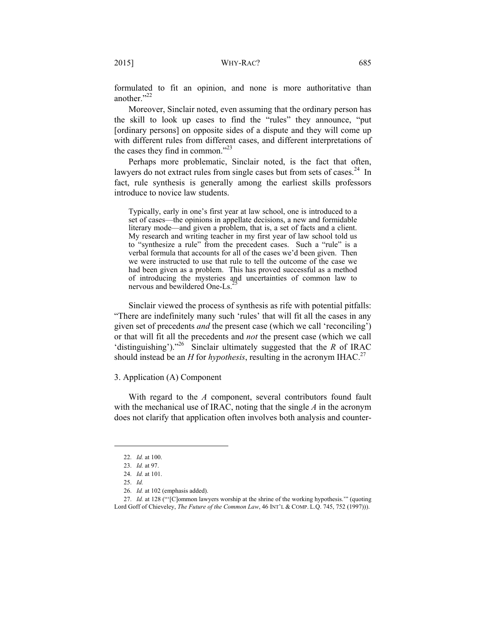formulated to fit an opinion, and none is more authoritative than another<sup>"22</sup>

Moreover, Sinclair noted, even assuming that the ordinary person has the skill to look up cases to find the "rules" they announce, "put [ordinary persons] on opposite sides of a dispute and they will come up with different rules from different cases, and different interpretations of the cases they find in common."<sup>23</sup>

Perhaps more problematic, Sinclair noted, is the fact that often, lawyers do not extract rules from single cases but from sets of cases.<sup>24</sup> In fact, rule synthesis is generally among the earliest skills professors introduce to novice law students.

Typically, early in one's first year at law school, one is introduced to a set of cases—the opinions in appellate decisions, a new and formidable literary mode—and given a problem, that is, a set of facts and a client. My research and writing teacher in my first year of law school told us to "synthesize a rule" from the precedent cases. Such a "rule" is a verbal formula that accounts for all of the cases we'd been given. Then we were instructed to use that rule to tell the outcome of the case we had been given as a problem. This has proved successful as a method of introducing the mysteries and uncertainties of common law to nervous and bewildered One-Ls.<sup>2</sup>

Sinclair viewed the process of synthesis as rife with potential pitfalls: "There are indefinitely many such 'rules' that will fit all the cases in any given set of precedents *and* the present case (which we call 'reconciling') or that will fit all the precedents and *not* the present case (which we call 'distinguishing')."26 Sinclair ultimately suggested that the *R* of IRAC should instead be an *H* for *hypothesis*, resulting in the acronym IHAC.<sup>27</sup>

### 3. Application (A) Component

With regard to the *A* component, several contributors found fault with the mechanical use of IRAC, noting that the single *A* in the acronym does not clarify that application often involves both analysis and counter-

 <sup>22.</sup> *Id.* at 100.

 <sup>23.</sup> *Id.* at 97.

 <sup>24.</sup> *Id.* at 101.

 <sup>25.</sup> *Id.* 

 <sup>26.</sup> *Id.* at 102 (emphasis added).

 <sup>27.</sup> *Id.* at 128 ("'[C]ommon lawyers worship at the shrine of the working hypothesis.'" (quoting Lord Goff of Chieveley, *The Future of the Common Law*, 46 INT'L & COMP. L.Q. 745, 752 (1997))).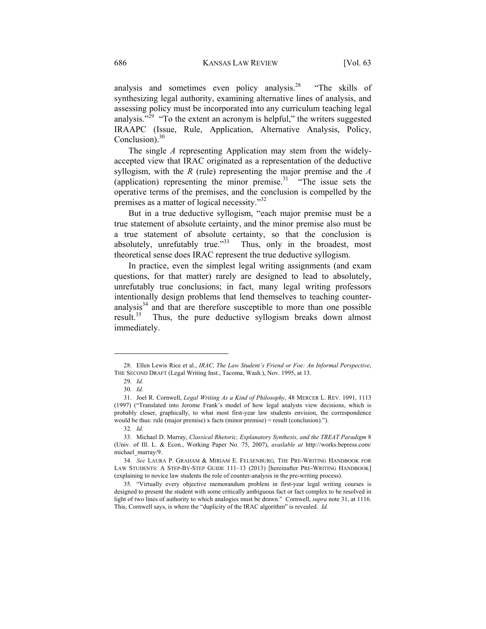analysis and sometimes even policy analysis.<sup>28</sup> "The skills of synthesizing legal authority, examining alternative lines of analysis, and assessing policy must be incorporated into any curriculum teaching legal analysis."<sup>29</sup> "To the extent an acronym is helpful," the writers suggested IRAAPC (Issue, Rule, Application, Alternative Analysis, Policy, Conclusion). $30$ 

The single *A* representing Application may stem from the widelyaccepted view that IRAC originated as a representation of the deductive syllogism, with the *R* (rule) representing the major premise and the *A* (application) representing the minor premise.31 "The issue sets the operative terms of the premises, and the conclusion is compelled by the premises as a matter of logical necessity."32

But in a true deductive syllogism, "each major premise must be a true statement of absolute certainty, and the minor premise also must be a true statement of absolute certainty, so that the conclusion is absolutely, unrefutably true."<sup>33</sup> Thus, only in the broadest, most theoretical sense does IRAC represent the true deductive syllogism.

In practice, even the simplest legal writing assignments (and exam questions, for that matter) rarely are designed to lead to absolutely, unrefutably true conclusions; in fact, many legal writing professors intentionally design problems that lend themselves to teaching counteranalysis $34$  and that are therefore susceptible to more than one possible result.<sup>35</sup> Thus, the pure deductive syllogism breaks down almost immediately.

 <sup>28.</sup> Ellen Lewis Rice et al., *IRAC, The Law Student's Friend or Foe: An Informal Perspective*, THE SECOND DRAFT (Legal Writing Inst., Tacoma, Wash.), Nov. 1995, at 13.

 <sup>29.</sup> *Id.*

 <sup>30.</sup> *Id.*

 <sup>31.</sup> Joel R. Cornwell, *Legal Writing As a Kind of Philosophy*, 48 MERCER L. REV. 1091, 1113 (1997) ("Translated into Jerome Frank's model of how legal analysts view decisions, which is probably closer, graphically, to what most first-year law students envision, the correspondence would be thus: rule (major premise) x facts (minor premise) = result (conclusion).").

 <sup>32.</sup> *Id.*

 <sup>33.</sup> Michael D. Murray, *Classical Rhetoric, Explanatory Synthesis, and the TREAT Paradigm* 8 (Univ. of Ill. L. & Econ., Working Paper No. 75, 2007), *available at* http://works.bepress.com/ michael\_murray/9.

 <sup>34.</sup> *See* LAURA P. GRAHAM & MIRIAM E. FELSENBURG*,* THE PRE-WRITING HANDBOOK FOR LAW STUDENTS: A STEP-BY-STEP GUIDE 111–13 (2013) [hereinafter PRE-WRITING HANDBOOK] (explaining to novice law students the role of counter-analysis in the pre-writing process).

 <sup>35. &</sup>quot;Virtually every objective memorandum problem in first-year legal writing courses is designed to present the student with some critically ambiguous fact or fact complex to be resolved in light of two lines of authority to which analogies must be drawn." Cornwell, *supra* note 31, at 1116. This, Cornwell says, is where the "duplicity of the IRAC algorithm" is revealed. *Id.*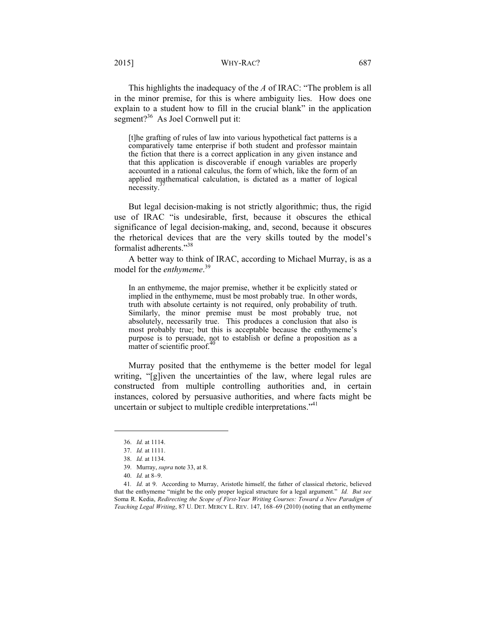This highlights the inadequacy of the *A* of IRAC: "The problem is all in the minor premise, for this is where ambiguity lies. How does one explain to a student how to fill in the crucial blank" in the application segment?<sup>36</sup> As Joel Cornwell put it:

[t]he grafting of rules of law into various hypothetical fact patterns is a comparatively tame enterprise if both student and professor maintain the fiction that there is a correct application in any given instance and that this application is discoverable if enough variables are properly accounted in a rational calculus, the form of which, like the form of an applied mathematical calculation, is dictated as a matter of logical necessity.<sup>3</sup>

But legal decision-making is not strictly algorithmic; thus, the rigid use of IRAC "is undesirable, first, because it obscures the ethical significance of legal decision-making, and, second, because it obscures the rhetorical devices that are the very skills touted by the model's formalist adherents."<sup>38</sup>

A better way to think of IRAC, according to Michael Murray, is as a model for the *enthymeme*. 39

In an enthymeme, the major premise, whether it be explicitly stated or implied in the enthymeme, must be most probably true. In other words, truth with absolute certainty is not required, only probability of truth. Similarly, the minor premise must be most probably true, not absolutely, necessarily true. This produces a conclusion that also is most probably true; but this is acceptable because the enthymeme's purpose is to persuade, not to establish or define a proposition as a matter of scientific proof.

Murray posited that the enthymeme is the better model for legal writing, "[g]iven the uncertainties of the law, where legal rules are constructed from multiple controlling authorities and, in certain instances, colored by persuasive authorities, and where facts might be uncertain or subject to multiple credible interpretations."<sup>41</sup>

 <sup>36.</sup> *Id.* at 1114.

 <sup>37.</sup> *Id.* at 1111.

 <sup>38.</sup> *Id.* at 1134.

 <sup>39.</sup> Murray, *supra* note 33, at 8.

 <sup>40.</sup> *Id.* at 8–9.

<sup>41</sup>*. Id.* at 9. According to Murray, Aristotle himself, the father of classical rhetoric, believed that the enthymeme "might be the only proper logical structure for a legal argument." *Id. But see*  Soma R. Kedia, *Redirecting the Scope of First-Year Writing Courses: Toward a New Paradigm of Teaching Legal Writing*, 87 U. DET. MERCY L. REV. 147, 168–69 (2010) (noting that an enthymeme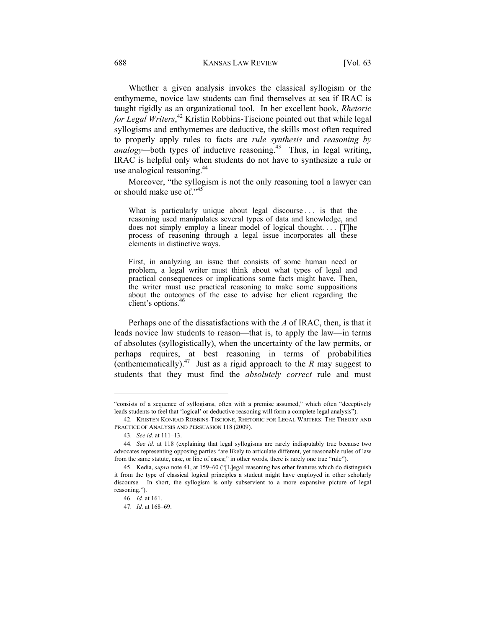#### 688 KANSAS LAW REVIEW [Vol. 63

Whether a given analysis invokes the classical syllogism or the enthymeme, novice law students can find themselves at sea if IRAC is taught rigidly as an organizational tool. In her excellent book, *Rhetoric for Legal Writers*, <sup>42</sup> Kristin Robbins-Tiscione pointed out that while legal syllogisms and enthymemes are deductive, the skills most often required to properly apply rules to facts are *rule synthesis* and *reasoning by*   $analogy$ —both types of inductive reasoning.<sup>43</sup> Thus, in legal writing, IRAC is helpful only when students do not have to synthesize a rule or use analogical reasoning.44

Moreover, "the syllogism is not the only reasoning tool a lawyer can or should make use of."45

What is particularly unique about legal discourse ... is that the reasoning used manipulates several types of data and knowledge, and does not simply employ a linear model of logical thought.... [T]he process of reasoning through a legal issue incorporates all these elements in distinctive ways.

First, in analyzing an issue that consists of some human need or problem, a legal writer must think about what types of legal and practical consequences or implications some facts might have. Then, the writer must use practical reasoning to make some suppositions about the outcomes of the case to advise her client regarding the client's options.

Perhaps one of the dissatisfactions with the *A* of IRAC, then, is that it leads novice law students to reason—that is, to apply the law—in terms of absolutes (syllogistically), when the uncertainty of the law permits, or perhaps requires, at best reasoning in terms of probabilities (enthemematically).<sup>47</sup> Just as a rigid approach to the  $R$  may suggest to students that they must find the *absolutely correct* rule and must

<sup>&</sup>quot;consists of a sequence of syllogisms, often with a premise assumed," which often "deceptively leads students to feel that 'logical' or deductive reasoning will form a complete legal analysis").

 <sup>42.</sup> KRISTEN KONRAD ROBBINS-TISCIONE, RHETORIC FOR LEGAL WRITERS: THE THEORY AND PRACTICE OF ANALYSIS AND PERSUASION 118 (2009).

 <sup>43.</sup> *See id.* at 111–13.

 <sup>44.</sup> *See id.* at 118 (explaining that legal syllogisms are rarely indisputably true because two advocates representing opposing parties "are likely to articulate different, yet reasonable rules of law from the same statute, case, or line of cases;" in other words, there is rarely one true "rule").

 <sup>45.</sup> Kedia, *supra* note 41, at 159–60 ("[L]egal reasoning has other features which do distinguish it from the type of classical logical principles a student might have employed in other scholarly discourse. In short, the syllogism is only subservient to a more expansive picture of legal reasoning.").

 <sup>46.</sup> *Id.* at 161.

 <sup>47.</sup> *Id.* at 168–69.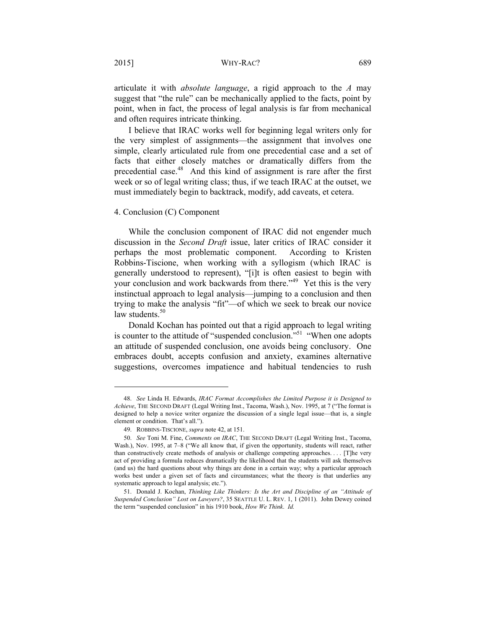articulate it with *absolute language*, a rigid approach to the *A* may suggest that "the rule" can be mechanically applied to the facts, point by point, when in fact, the process of legal analysis is far from mechanical and often requires intricate thinking.

I believe that IRAC works well for beginning legal writers only for the very simplest of assignments—the assignment that involves one simple, clearly articulated rule from one precedential case and a set of facts that either closely matches or dramatically differs from the precedential case.48 And this kind of assignment is rare after the first week or so of legal writing class; thus, if we teach IRAC at the outset, we must immediately begin to backtrack, modify, add caveats, et cetera.

### 4. Conclusion (C) Component

While the conclusion component of IRAC did not engender much discussion in the *Second Draft* issue, later critics of IRAC consider it perhaps the most problematic component. According to Kristen Robbins-Tiscione, when working with a syllogism (which IRAC is generally understood to represent), "[i]t is often easiest to begin with your conclusion and work backwards from there."<sup>49</sup> Yet this is the very instinctual approach to legal analysis—jumping to a conclusion and then trying to make the analysis "fit"—of which we seek to break our novice law students.<sup>50</sup>

Donald Kochan has pointed out that a rigid approach to legal writing is counter to the attitude of "suspended conclusion."<sup>51</sup> "When one adopts an attitude of suspended conclusion, one avoids being conclusory. One embraces doubt, accepts confusion and anxiety, examines alternative suggestions, overcomes impatience and habitual tendencies to rush

 <sup>48.</sup> *See* Linda H. Edwards, *IRAC Format Accomplishes the Limited Purpose it is Designed to Achieve*, THE SECOND DRAFT (Legal Writing Inst., Tacoma, Wash.), Nov. 1995, at 7 ("The format is designed to help a novice writer organize the discussion of a single legal issue—that is, a single element or condition. That's all.").

 <sup>49.</sup> ROBBINS-TISCIONE, *supra* note 42, at 151.

 <sup>50.</sup> *See* Toni M. Fine, *Comments on IRAC*, THE SECOND DRAFT (Legal Writing Inst., Tacoma, Wash.), Nov. 1995, at 7-8 ("We all know that, if given the opportunity, students will react, rather than constructively create methods of analysis or challenge competing approaches. . . . [T]he very act of providing a formula reduces dramatically the likelihood that the students will ask themselves (and us) the hard questions about why things are done in a certain way; why a particular approach works best under a given set of facts and circumstances; what the theory is that underlies any systematic approach to legal analysis; etc.").

 <sup>51.</sup> Donald J. Kochan, *Thinking Like Thinkers: Is the Art and Discipline of an "Attitude of Suspended Conclusion" Lost on Lawyers?*, 35 SEATTLE U. L. REV. 1, 1 (2011). John Dewey coined the term "suspended conclusion" in his 1910 book, *How We Think*. *Id.*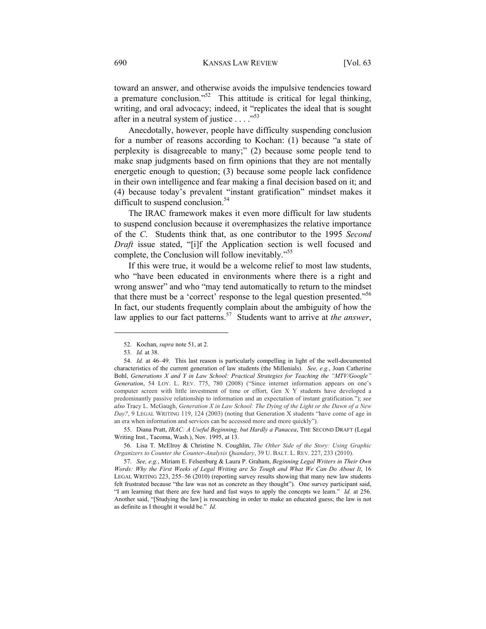toward an answer, and otherwise avoids the impulsive tendencies toward a premature conclusion."<sup>52</sup> This attitude is critical for legal thinking, writing, and oral advocacy; indeed, it "replicates the ideal that is sought after in a neutral system of justice  $\dots$ ."<sup>53</sup>

Anecdotally, however, people have difficulty suspending conclusion for a number of reasons according to Kochan: (1) because "a state of perplexity is disagreeable to many;" (2) because some people tend to make snap judgments based on firm opinions that they are not mentally energetic enough to question; (3) because some people lack confidence in their own intelligence and fear making a final decision based on it; and (4) because today's prevalent "instant gratification" mindset makes it difficult to suspend conclusion.<sup>54</sup>

The IRAC framework makes it even more difficult for law students to suspend conclusion because it overemphasizes the relative importance of the *C*.Students think that, as one contributor to the 1995 *Second Draft* issue stated, "[i]f the Application section is well focused and complete, the Conclusion will follow inevitably."<sup>55</sup>

If this were true, it would be a welcome relief to most law students, who "have been educated in environments where there is a right and wrong answer" and who "may tend automatically to return to the mindset that there must be a 'correct' response to the legal question presented."56 In fact, our students frequently complain about the ambiguity of how the law applies to our fact patterns.57 Students want to arrive at *the answer*,

 $\overline{\phantom{a}}$ 

 55. Diana Pratt, *IRAC: A Useful Beginning, but Hardly a Panacea*, THE SECOND DRAFT (Legal Writing Inst., Tacoma, Wash.), Nov. 1995, at 13.

 <sup>52.</sup> Kochan, *supra* note 51, at 2.

 <sup>53.</sup> *Id.* at 38.

 <sup>54.</sup> *Id.* at 46–49. This last reason is particularly compelling in light of the well-documented characteristics of the current generation of law students (the Millenials). *See, e.g.*, Joan Catherine Bohl, *Generations X and Y in Law School: Practical Strategies for Teaching the "MTV/Google" Generation*, 54 LOY. L. REV. 775, 780 (2008) ("Since internet information appears on one's computer screen with little investment of time or effort, Gen X Y students have developed a predominantly passive relationship to information and an expectation of instant gratification."); *see also* Tracy L. McGaugh, *Generation X in Law School: The Dying of the Light or the Dawn of a New Day?*, 9 LEGAL WRITING 119, 124 (2003) (noting that Generation X students "have come of age in an era when information and services can be accessed more and more quickly").

 <sup>56.</sup> Lisa T. McElroy & Christine N. Coughlin, *The Other Side of the Story: Using Graphic Organizers to Counter the Counter-Analysis Quandary*, 39 U. BALT. L. REV. 227, 233 (2010).

 <sup>57.</sup> *See, e.g.*, Miriam E. Felsenburg & Laura P. Graham, *Beginning Legal Writers in Their Own Words: Why the First Weeks of Legal Writing are So Tough and What We Can Do About It*, 16 LEGAL WRITING 223, 255–56 (2010) (reporting survey results showing that many new law students felt frustrated because "the law was not as concrete as they thought"). One survey participant said, "I am learning that there are few hard and fast ways to apply the concepts we learn." *Id.* at 256. Another said, "[Studying the law] is researching in order to make an educated guess; the law is not as definite as I thought it would be." *Id.*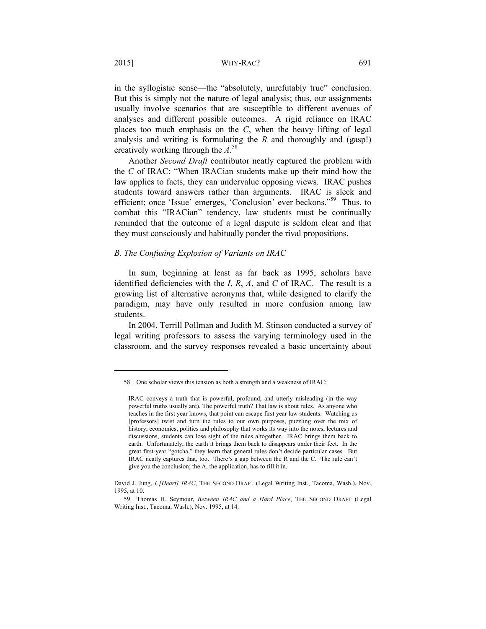in the syllogistic sense—the "absolutely, unrefutably true" conclusion. But this is simply not the nature of legal analysis; thus, our assignments usually involve scenarios that are susceptible to different avenues of analyses and different possible outcomes. A rigid reliance on IRAC places too much emphasis on the *C*, when the heavy lifting of legal analysis and writing is formulating the *R* and thoroughly and (gasp!) creatively working through the *A*. 58

Another *Second Draft* contributor neatly captured the problem with the *C* of IRAC: "When IRACian students make up their mind how the law applies to facts, they can undervalue opposing views. IRAC pushes students toward answers rather than arguments. IRAC is sleek and efficient; once 'Issue' emerges, 'Conclusion' ever beckons."59 Thus, to combat this "IRACian" tendency, law students must be continually reminded that the outcome of a legal dispute is seldom clear and that they must consciously and habitually ponder the rival propositions.

### *B. The Confusing Explosion of Variants on IRAC*

In sum, beginning at least as far back as 1995, scholars have identified deficiencies with the *I*, *R*, *A*, and *C* of IRAC. The result is a growing list of alternative acronyms that, while designed to clarify the paradigm, may have only resulted in more confusion among law students.

In 2004, Terrill Pollman and Judith M. Stinson conducted a survey of legal writing professors to assess the varying terminology used in the classroom, and the survey responses revealed a basic uncertainty about

 <sup>58.</sup> One scholar views this tension as both a strength and a weakness of IRAC:

IRAC conveys a truth that is powerful, profound, and utterly misleading (in the way powerful truths usually are). The powerful truth? That law is about rules. As anyone who teaches in the first year knows, that point can escape first year law students. Watching us [professors] twist and turn the rules to our own purposes, puzzling over the mix of history, economics, politics and philosophy that works its way into the notes, lectures and discussions, students can lose sight of the rules altogether. IRAC brings them back to earth. Unfortunately, the earth it brings them back to disappears under their feet. In the great first-year "gotcha," they learn that general rules don't decide particular cases. But IRAC neatly captures that, too. There's a gap between the R and the C. The rule can't give you the conclusion; the A, the application, has to fill it in.

David J. Jung, *I [Heart] IRAC*, THE SECOND DRAFT (Legal Writing Inst., Tacoma, Wash.), Nov. 1995, at 10.

 <sup>59.</sup> Thomas H. Seymour, *Between IRAC and a Hard Place*, THE SECOND DRAFT (Legal Writing Inst., Tacoma, Wash.), Nov. 1995, at 14.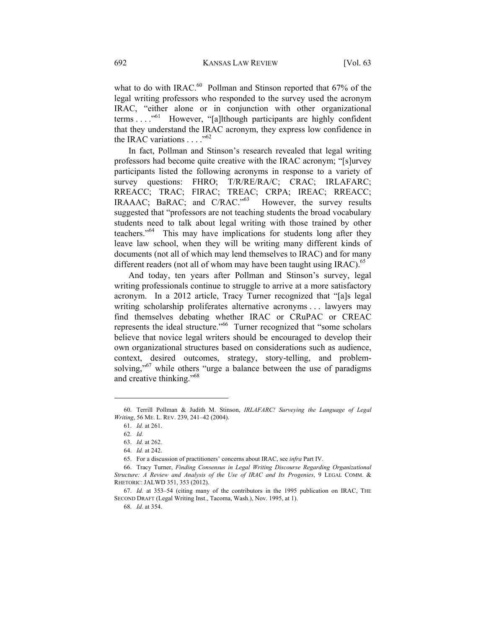what to do with IRAC.<sup>60</sup> Pollman and Stinson reported that 67% of the legal writing professors who responded to the survey used the acronym IRAC, "either alone or in conjunction with other organizational terms . . . .<sup>"61</sup> However, "[a]lthough participants are highly confident that they understand the IRAC acronym, they express low confidence in the IRAC variations  $\ldots$ ."<sup>62</sup>

In fact, Pollman and Stinson's research revealed that legal writing professors had become quite creative with the IRAC acronym; "[s]urvey participants listed the following acronyms in response to a variety of survey questions: FHRO; T/R/RE/RA/C; CRAC; IRLAFARC; RREACC; TRAC; FIRAC; TREAC; CRPA; IREAC; RREACC; IRAAAC; BaRAC; and C/RAC."<sup>63</sup> However, the survey results suggested that "professors are not teaching students the broad vocabulary students need to talk about legal writing with those trained by other teachers."64 This may have implications for students long after they leave law school, when they will be writing many different kinds of documents (not all of which may lend themselves to IRAC) and for many different readers (not all of whom may have been taught using IRAC).<sup>65</sup>

And today, ten years after Pollman and Stinson's survey, legal writing professionals continue to struggle to arrive at a more satisfactory acronym. In a 2012 article, Tracy Turner recognized that "[a]s legal writing scholarship proliferates alternative acronyms ... lawyers may find themselves debating whether IRAC or CRuPAC or CREAC represents the ideal structure."66 Turner recognized that "some scholars believe that novice legal writers should be encouraged to develop their own organizational structures based on considerations such as audience, context, desired outcomes, strategy, story-telling, and problemsolving," $67$  while others "urge a balance between the use of paradigms and creative thinking."68

 <sup>60.</sup> Terrill Pollman & Judith M. Stinson, *IRLAFARC! Surveying the Language of Legal Writing*, 56 ME. L. REV. 239, 241–42 (2004).

 <sup>61.</sup> *Id.* at 261.

 <sup>62.</sup> *Id.*

 <sup>63.</sup> *Id.* at 262.

 <sup>64.</sup> *Id.* at 242.

 <sup>65.</sup> For a discussion of practitioners' concerns about IRAC, see *infra* Part IV.

 <sup>66.</sup> Tracy Turner, *Finding Consensus in Legal Writing Discourse Regarding Organizational Structure: A Review and Analysis of the Use of IRAC and Its Progenies*, 9 LEGAL COMM. & RHETORIC: JALWD 351, 353 (2012).

 <sup>67.</sup> *Id.* at 353–54 (citing many of the contributors in the 1995 publication on IRAC, THE SECOND DRAFT (Legal Writing Inst., Tacoma, Wash.), Nov. 1995, at 1).

 <sup>68.</sup> *Id.* at 354.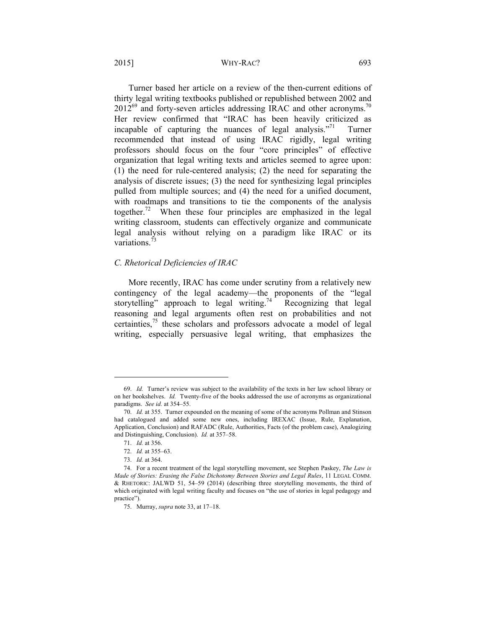Turner based her article on a review of the then-current editions of thirty legal writing textbooks published or republished between 2002 and  $2012^{69}$  and forty-seven articles addressing IRAC and other acronyms.<sup>70</sup> Her review confirmed that "IRAC has been heavily criticized as incapable of capturing the nuances of legal analysis. $1<sup>71</sup>$  Turner recommended that instead of using IRAC rigidly, legal writing professors should focus on the four "core principles" of effective organization that legal writing texts and articles seemed to agree upon: (1) the need for rule-centered analysis; (2) the need for separating the analysis of discrete issues; (3) the need for synthesizing legal principles pulled from multiple sources; and (4) the need for a unified document, with roadmaps and transitions to tie the components of the analysis together.<sup>72</sup> When these four principles are emphasized in the legal writing classroom, students can effectively organize and communicate legal analysis without relying on a paradigm like IRAC or its variations.<sup>73</sup>

# *C. Rhetorical Deficiencies of IRAC*

More recently, IRAC has come under scrutiny from a relatively new contingency of the legal academy—the proponents of the "legal storytelling" approach to legal writing.<sup>74</sup> Recognizing that legal reasoning and legal arguments often rest on probabilities and not certainties,75 these scholars and professors advocate a model of legal writing, especially persuasive legal writing, that emphasizes the

 <sup>69.</sup> *Id.* Turner's review was subject to the availability of the texts in her law school library or on her bookshelves. *Id.* Twenty-five of the books addressed the use of acronyms as organizational paradigms. *See id.* at 354–55.

 <sup>70.</sup> *Id.* at 355. Turner expounded on the meaning of some of the acronyms Pollman and Stinson had catalogued and added some new ones, including IREXAC (Issue, Rule, Explanation, Application, Conclusion) and RAFADC (Rule, Authorities, Facts (of the problem case), Analogizing and Distinguishing, Conclusion). *Id.* at 357–58.

 <sup>71.</sup> *Id.* at 356.

 <sup>72.</sup> *Id.* at 355–63.

 <sup>73.</sup> *Id.* at 364.

 <sup>74.</sup> For a recent treatment of the legal storytelling movement, see Stephen Paskey, *The Law is Made of Stories: Erasing the False Dichotomy Between Stories and Legal Rules*, 11 LEGAL COMM. & RHETORIC: JALWD 51, 54–59 (2014) (describing three storytelling movements, the third of which originated with legal writing faculty and focuses on "the use of stories in legal pedagogy and practice").

 <sup>75.</sup> Murray, *supra* note 33, at 17–18.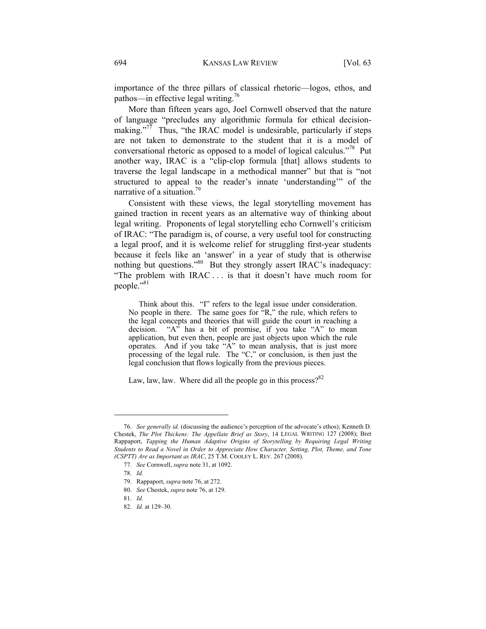importance of the three pillars of classical rhetoric—logos, ethos, and pathos—in effective legal writing.<sup>76</sup>

More than fifteen years ago, Joel Cornwell observed that the nature of language "precludes any algorithmic formula for ethical decisionmaking."<sup>77</sup> Thus, "the IRAC model is undesirable, particularly if steps are not taken to demonstrate to the student that it is a model of conversational rhetoric as opposed to a model of logical calculus."78 Put another way, IRAC is a "clip-clop formula [that] allows students to traverse the legal landscape in a methodical manner" but that is "not structured to appeal to the reader's innate 'understanding'" of the narrative of a situation.<sup>79</sup>

Consistent with these views, the legal storytelling movement has gained traction in recent years as an alternative way of thinking about legal writing. Proponents of legal storytelling echo Cornwell's criticism of IRAC: "The paradigm is, of course, a very useful tool for constructing a legal proof, and it is welcome relief for struggling first-year students because it feels like an 'answer' in a year of study that is otherwise nothing but questions."<sup>80</sup> But they strongly assert IRAC's inadequacy: "The problem with IRAC . . . is that it doesn't have much room for people."<sup>81</sup>

 Think about this. "I" refers to the legal issue under consideration. No people in there. The same goes for "R," the rule, which refers to the legal concepts and theories that will guide the court in reaching a decision. "A" has a bit of promise, if you take "A" to mean application, but even then, people are just objects upon which the rule operates. And if you take "A" to mean analysis, that is just more processing of the legal rule. The "C," or conclusion, is then just the legal conclusion that flows logically from the previous pieces.

Law, law, law. Where did all the people go in this process? $82$ 

-

81. *Id.*

 <sup>76.</sup> *See generally id.* (discussing the audience's perception of the advocate's ethos); Kenneth D. Chestek, *The Plot Thickens: The Appellate Brief as Story*, 14 LEGAL WRITING 127 (2008); Bret Rappaport, *Tapping the Human Adaptive Origins of Storytelling by Requiring Legal Writing Students to Read a Novel in Order to Appreciate How Character, Setting, Plot, Theme, and Tone (CSPTT) Are as Important as IRAC*, 25 T.M. COOLEY L. REV. 267 (2008).

 <sup>77.</sup> *See* Cornwell, *supra* note 31, at 1092.

 <sup>78.</sup> *Id.* 

 <sup>79.</sup> Rappaport, *supra* note 76, at 272.

 <sup>80.</sup> *See* Chestek, *supra* note 76, at 129.

 <sup>82.</sup> *Id.* at 129–30.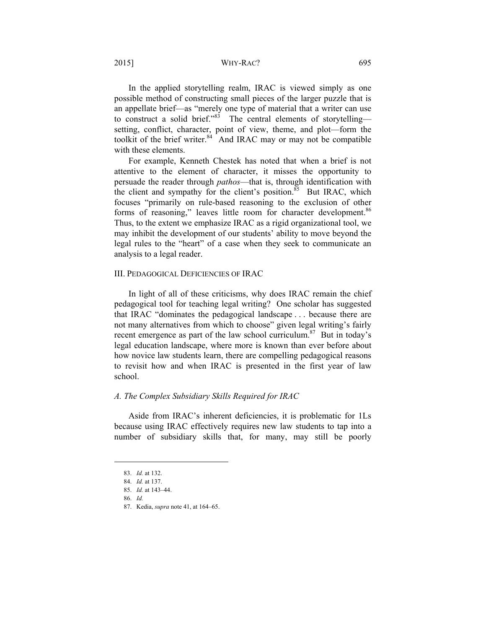In the applied storytelling realm, IRAC is viewed simply as one possible method of constructing small pieces of the larger puzzle that is an appellate brief—as "merely one type of material that a writer can use to construct a solid brief. $183$  The central elements of storytelling setting, conflict, character, point of view, theme, and plot—form the toolkit of the brief writer.<sup>84</sup> And IRAC may or may not be compatible with these elements.

For example, Kenneth Chestek has noted that when a brief is not attentive to the element of character, it misses the opportunity to persuade the reader through *pathos*—that is, through identification with the client and sympathy for the client's position. $85$  But IRAC, which focuses "primarily on rule-based reasoning to the exclusion of other forms of reasoning," leaves little room for character development.<sup>86</sup> Thus, to the extent we emphasize IRAC as a rigid organizational tool, we may inhibit the development of our students' ability to move beyond the legal rules to the "heart" of a case when they seek to communicate an analysis to a legal reader.

## III. PEDAGOGICAL DEFICIENCIES OF IRAC

In light of all of these criticisms, why does IRAC remain the chief pedagogical tool for teaching legal writing? One scholar has suggested that IRAC "dominates the pedagogical landscape . . . because there are not many alternatives from which to choose" given legal writing's fairly recent emergence as part of the law school curriculum.<sup>87</sup> But in today's legal education landscape, where more is known than ever before about how novice law students learn, there are compelling pedagogical reasons to revisit how and when IRAC is presented in the first year of law school.

### *A. The Complex Subsidiary Skills Required for IRAC*

Aside from IRAC's inherent deficiencies, it is problematic for 1Ls because using IRAC effectively requires new law students to tap into a number of subsidiary skills that, for many, may still be poorly

 <sup>83.</sup> *Id.* at 132.

 <sup>84.</sup> *Id.* at 137.

 <sup>85.</sup> *Id.* at 143–44.

 <sup>86.</sup> *Id.*

 <sup>87.</sup> Kedia, *supra* note 41, at 164–65.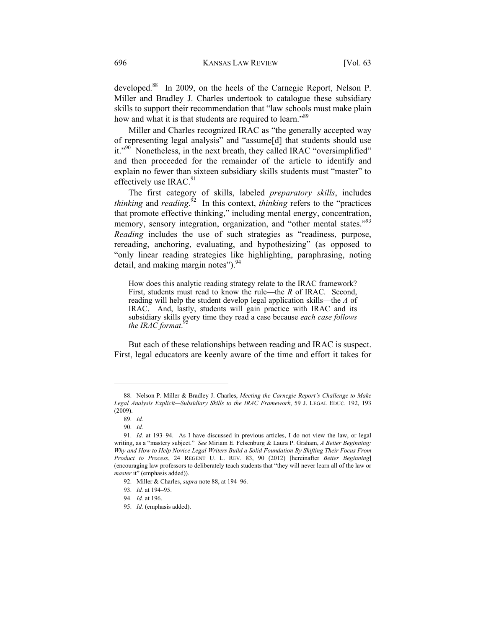developed.<sup>88</sup> In 2009, on the heels of the Carnegie Report, Nelson P. Miller and Bradley J. Charles undertook to catalogue these subsidiary skills to support their recommendation that "law schools must make plain how and what it is that students are required to learn."<sup>89</sup>

Miller and Charles recognized IRAC as "the generally accepted way of representing legal analysis" and "assume[d] that students should use it."<sup>90</sup> Nonetheless, in the next breath, they called IRAC "oversimplified" and then proceeded for the remainder of the article to identify and explain no fewer than sixteen subsidiary skills students must "master" to effectively use IRAC. $91$ 

The first category of skills, labeled *preparatory skills*, includes *thinking* and *reading*.<sup>92</sup> In this context, *thinking* refers to the "practices" that promote effective thinking," including mental energy, concentration, memory, sensory integration, organization, and "other mental states."<sup>93</sup> *Reading* includes the use of such strategies as "readiness, purpose, rereading, anchoring, evaluating, and hypothesizing" (as opposed to "only linear reading strategies like highlighting, paraphrasing, noting detail, and making margin notes").  $94$ 

How does this analytic reading strategy relate to the IRAC framework? First, students must read to know the rule—the *R* of IRAC. Second, reading will help the student develop legal application skills—the *A* of IRAC. And, lastly, students will gain practice with IRAC and its subsidiary skills every time they read a case because *each case follows the IRAC format*.

But each of these relationships between reading and IRAC is suspect. First, legal educators are keenly aware of the time and effort it takes for

 <sup>88.</sup> Nelson P. Miller & Bradley J. Charles, *Meeting the Carnegie Report's Challenge to Make Legal Analysis Explicit—Subsidiary Skills to the IRAC Framework*, 59 J. LEGAL EDUC. 192, 193 (2009).

 <sup>89.</sup> *Id.*

 <sup>90.</sup> *Id.*

 <sup>91.</sup> *Id.* at 193–94. As I have discussed in previous articles, I do not view the law, or legal writing, as a "mastery subject." *See* Miriam E. Felsenburg & Laura P. Graham, *A Better Beginning: Why and How to Help Novice Legal Writers Build a Solid Foundation By Shifting Their Focus From Product to Process*, 24 REGENT U. L. REV. 83, 90 (2012) [hereinafter *Better Beginning*] (encouraging law professors to deliberately teach students that "they will never learn all of the law or *master* it" (emphasis added)).

 <sup>92.</sup> Miller & Charles, *supra* note 88, at 194–96.

 <sup>93.</sup> *Id.* at 194–95.

 <sup>94.</sup> *Id.* at 196.

 <sup>95.</sup> *Id.* (emphasis added).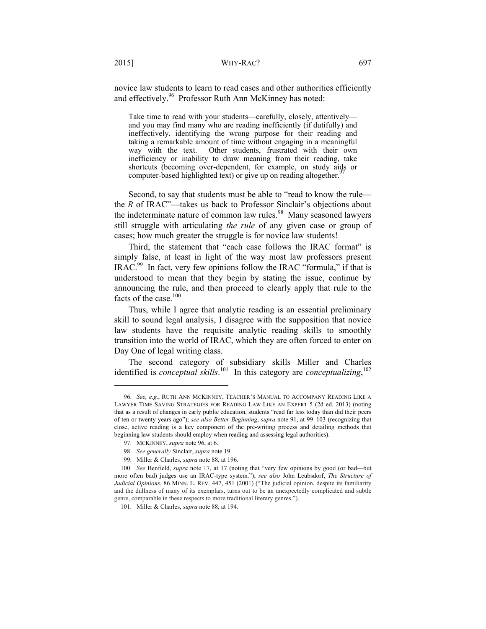novice law students to learn to read cases and other authorities efficiently and effectively.<sup>96</sup> Professor Ruth Ann McKinney has noted:

Take time to read with your students—carefully, closely, attentively and you may find many who are reading inefficiently (if dutifully) and ineffectively, identifying the wrong purpose for their reading and taking a remarkable amount of time without engaging in a meaningful way with the text. Other students, frustrated with their own inefficiency or inability to draw meaning from their reading, take shortcuts (becoming over-dependent, for example, on study aids or computer-based highlighted text) or give up on reading altogether.

Second, to say that students must be able to "read to know the rule the *R* of IRAC"—takes us back to Professor Sinclair's objections about the indeterminate nature of common law rules.<sup>98</sup> Many seasoned lawyers still struggle with articulating *the rule* of any given case or group of cases; how much greater the struggle is for novice law students!

Third, the statement that "each case follows the IRAC format" is simply false, at least in light of the way most law professors present IRAC.<sup>99</sup> In fact, very few opinions follow the IRAC "formula," if that is understood to mean that they begin by stating the issue, continue by announcing the rule, and then proceed to clearly apply that rule to the facts of the case.<sup>100</sup>

Thus, while I agree that analytic reading is an essential preliminary skill to sound legal analysis, I disagree with the supposition that novice law students have the requisite analytic reading skills to smoothly transition into the world of IRAC, which they are often forced to enter on Day One of legal writing class.

The second category of subsidiary skills Miller and Charles identified is *conceptual skills*.<sup>101</sup> In this category are *conceptualizing*,<sup>102</sup>

 <sup>96.</sup> *See, e.g.*, RUTH ANN MCKINNEY, TEACHER'S MANUAL TO ACCOMPANY READING LIKE A LAWYER TIME SAVING STRATEGIES FOR READING LAW LIKE AN EXPERT 5 (2d ed. 2013) (noting that as a result of changes in early public education, students "read far less today than did their peers of ten or twenty years ago"); *see also Better Beginning*, *supra* note 91, at 99–103 (recognizing that close, active reading is a key component of the pre-writing process and detailing methods that beginning law students should employ when reading and assessing legal authorities).

 <sup>97.</sup> MCKINNEY, *supra* note 96, at 6.

 <sup>98.</sup> *See generally* Sinclair, *supra* note 19.

 <sup>99.</sup> Miller & Charles, *supra* note 88, at 196.

 <sup>100.</sup> *See* Benfield, *supra* note 17, at 17 (noting that "very few opinions by good (or bad—but more often bad) judges use an IRAC-type system."); *see also* John Leubsdorf, *The Structure of Judicial Opinions*, 86 MINN. L. REV. 447, 451 (2001) ("The judicial opinion, despite its familiarity and the dullness of many of its exemplars, turns out to be an unexpectedly complicated and subtle genre, comparable in these respects to more traditional literary genres.").

 <sup>101.</sup> Miller & Charles, *supra* note 88, at 194.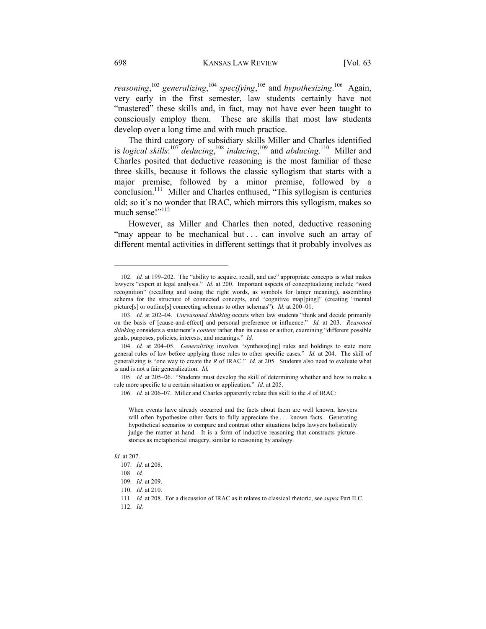*reasoning*, <sup>103</sup> *generalizing*, <sup>104</sup> *specifying*, <sup>105</sup> and *hypothesizing*. 106 Again, very early in the first semester, law students certainly have not "mastered" these skills and, in fact, may not have ever been taught to consciously employ them. These are skills that most law students develop over a long time and with much practice.

The third category of subsidiary skills Miller and Charles identified is *logical skills*:<sup>107</sup> deducing,<sup>108</sup> inducing,<sup>109</sup> and *abducing*.<sup>110</sup> Miller and Charles posited that deductive reasoning is the most familiar of these three skills, because it follows the classic syllogism that starts with a major premise, followed by a minor premise, followed by a conclusion.111 Miller and Charles enthused, "This syllogism is centuries old; so it's no wonder that IRAC, which mirrors this syllogism, makes so much sense!"<sup>112</sup>

However, as Miller and Charles then noted, deductive reasoning "may appear to be mechanical but . . . can involve such an array of different mental activities in different settings that it probably involves as

When events have already occurred and the facts about them are well known, lawyers will often hypothesize other facts to fully appreciate the ... known facts. Generating hypothetical scenarios to compare and contrast other situations helps lawyers holistically judge the matter at hand. It is a form of inductive reasoning that constructs picturestories as metaphorical imagery, similar to reasoning by analogy.

 <sup>102.</sup> *Id.* at 199–202. The "ability to acquire, recall, and use" appropriate concepts is what makes lawyers "expert at legal analysis." *Id.* at 200. Important aspects of conceptualizing include "word recognition" (recalling and using the right words, as symbols for larger meaning), assembling schema for the structure of connected concepts, and "cognitive map[ping]" (creating "mental picture[s] or outline[s] connecting schemas to other schemas"). *Id.* at 200–01.

 <sup>103.</sup> *Id.* at 202–04. *Unreasoned thinking* occurs when law students "think and decide primarily on the basis of [cause-and-effect] and personal preference or influence." *Id.* at 203. *Reasoned thinking* considers a statement's *content* rather than its cause or author, examining "different possible goals, purposes, policies, interests, and meanings." *Id.*

 <sup>104.</sup> *Id.* at 204–05. *Generalizing* involves "synthesiz[ing] rules and holdings to state more general rules of law before applying those rules to other specific cases." *Id.* at 204. The skill of generalizing is "one way to create the *R* of IRAC." *Id.* at 205. Students also need to evaluate what is and is not a fair generalization. *Id.* 

 <sup>105.</sup> *Id.* at 205–06. "Students must develop the skill of determining whether and how to make a rule more specific to a certain situation or application." *Id.* at 205.

 <sup>106.</sup> *Id.* at 206–07. Miller and Charles apparently relate this skill to the *A* of IRAC:

*Id.* at 207.

 <sup>107.</sup> *Id.* at 208.

 <sup>108.</sup> *Id.*

 <sup>109.</sup> *Id.* at 209.

 <sup>110.</sup> *Id.* at 210.

 <sup>111.</sup> *Id.* at 208. For a discussion of IRAC as it relates to classical rhetoric, see *supra* Part II.C. 112. *Id.*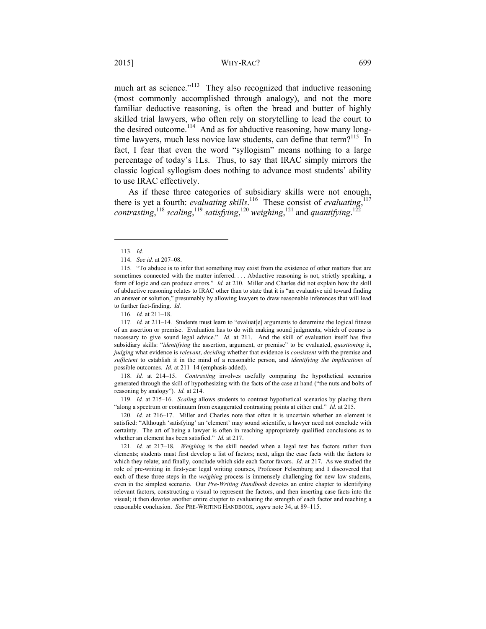much art as science."<sup>113</sup> They also recognized that inductive reasoning (most commonly accomplished through analogy), and not the more familiar deductive reasoning, is often the bread and butter of highly skilled trial lawyers, who often rely on storytelling to lead the court to the desired outcome.<sup>114</sup> And as for abductive reasoning, how many longtime lawyers, much less novice law students, can define that term? $115$  In fact, I fear that even the word "syllogism" means nothing to a large percentage of today's 1Ls. Thus, to say that IRAC simply mirrors the classic logical syllogism does nothing to advance most students' ability to use IRAC effectively.

As if these three categories of subsidiary skills were not enough, there is yet a fourth: *evaluating skills*. <sup>116</sup>These consist of *evaluating*, 117 contrasting,  $^{118}$  scaling,  $^{119}$  satisfying,  $^{120}$  weighing,  $^{121}$  and quantifying.  $^{122}$ 

 $\overline{a}$ 

116. *Id.* at 211–18.

117. *Id.* at 211-14. Students must learn to "evaluat[e] arguments to determine the logical fitness of an assertion or premise. Evaluation has to do with making sound judgments, which of course is necessary to give sound legal advice." *Id.* at 211. And the skill of evaluation itself has five subsidiary skills: "*identifying* the assertion, argument, or premise" to be evaluated, *questioning* it, *judging* what evidence is *relevant*, *deciding* whether that evidence is *consistent* with the premise and *sufficient* to establish it in the mind of a reasonable person, and *identifying the implications* of possible outcomes. *Id.* at 211–14 (emphasis added).

 118. *Id.* at 214–15. *Contrasting* involves usefully comparing the hypothetical scenarios generated through the skill of hypothesizing with the facts of the case at hand ("the nuts and bolts of reasoning by analogy"). *Id.* at 214.

 119. *Id.* at 215–16. *Scaling* allows students to contrast hypothetical scenarios by placing them "along a spectrum or continuum from exaggerated contrasting points at either end." *Id.* at 215.

 120. *Id.* at 216–17. Miller and Charles note that often it is uncertain whether an element is satisfied: "Although 'satisfying' an 'element' may sound scientific, a lawyer need not conclude with certainty. The art of being a lawyer is often in reaching appropriately qualified conclusions as to whether an element has been satisfied." *Id.* at 217.

 121. *Id.* at 217–18. *Weighing* is the skill needed when a legal test has factors rather than elements; students must first develop a list of factors; next, align the case facts with the factors to which they relate; and finally, conclude which side each factor favors. *Id.* at 217. As we studied the role of pre-writing in first-year legal writing courses, Professor Felsenburg and I discovered that each of these three steps in the *weighing* process is immensely challenging for new law students, even in the simplest scenario. Our *Pre-Writing Handbook* devotes an entire chapter to identifying relevant factors, constructing a visual to represent the factors, and then inserting case facts into the visual; it then devotes another entire chapter to evaluating the strength of each factor and reaching a reasonable conclusion. *See* PRE-WRITING HANDBOOK, *supra* note 34, at 89–115.

 <sup>113.</sup> *Id.*

 <sup>114.</sup> *See id.* at 207–08.

 <sup>115. &</sup>quot;To abduce is to infer that something may exist from the existence of other matters that are sometimes connected with the matter inferred. . . . Abductive reasoning is not, strictly speaking, a form of logic and can produce errors." *Id.* at 210. Miller and Charles did not explain how the skill of abductive reasoning relates to IRAC other than to state that it is "an evaluative aid toward finding an answer or solution," presumably by allowing lawyers to draw reasonable inferences that will lead to further fact-finding. *Id.*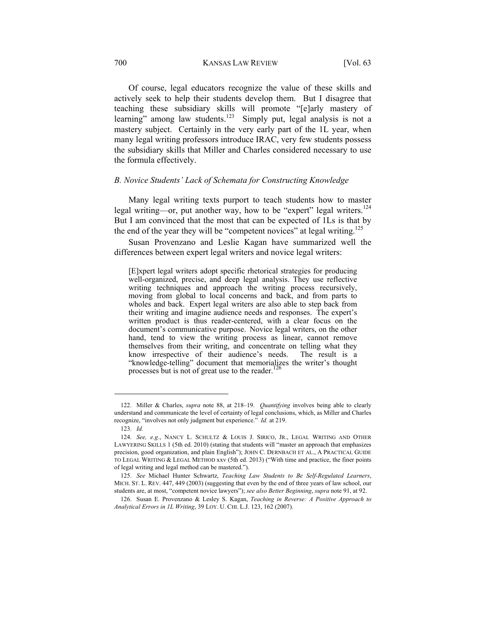### 700 KANSAS LAW REVIEW [Vol. 63

Of course, legal educators recognize the value of these skills and actively seek to help their students develop them. But I disagree that teaching these subsidiary skills will promote "[e]arly mastery of learning" among law students.<sup>123</sup> Simply put, legal analysis is not a mastery subject. Certainly in the very early part of the 1L year, when many legal writing professors introduce IRAC, very few students possess the subsidiary skills that Miller and Charles considered necessary to use the formula effectively.

# *B. Novice Students' Lack of Schemata for Constructing Knowledge*

Many legal writing texts purport to teach students how to master legal writing—or, put another way, how to be "expert" legal writers.<sup>124</sup> But I am convinced that the most that can be expected of 1Ls is that by the end of the year they will be "competent novices" at legal writing.<sup>125</sup>

Susan Provenzano and Leslie Kagan have summarized well the differences between expert legal writers and novice legal writers:

[E]xpert legal writers adopt specific rhetorical strategies for producing well-organized, precise, and deep legal analysis. They use reflective writing techniques and approach the writing process recursively, moving from global to local concerns and back, and from parts to wholes and back. Expert legal writers are also able to step back from their writing and imagine audience needs and responses. The expert's written product is thus reader-centered, with a clear focus on the document's communicative purpose. Novice legal writers, on the other hand, tend to view the writing process as linear, cannot remove themselves from their writing, and concentrate on telling what they know irrespective of their audience's needs. The result is a "knowledge-telling" document that memorializes the writer's thought processes but is not of great use to the reader. $126$ 

 <sup>122.</sup> Miller & Charles, *supra* note 88, at 218–19. *Quantifying* involves being able to clearly understand and communicate the level of certainty of legal conclusions, which, as Miller and Charles recognize, "involves not only judgment but experience." *Id.* at 219.

 <sup>123.</sup> *Id.*

 <sup>124.</sup> *See, e.g.*, NANCY L. SCHULTZ & LOUIS J. SIRICO, JR., LEGAL WRITING AND OTHER LAWYERING SKILLS 1 (5th ed. 2010) (stating that students will "master an approach that emphasizes precision, good organization, and plain English"); JOHN C. DERNBACH ET AL., A PRACTICAL GUIDE TO LEGAL WRITING & LEGAL METHOD xxv (5th ed. 2013) ("With time and practice, the finer points of legal writing and legal method can be mastered.").

 <sup>125.</sup> *See* Michael Hunter Schwartz, *Teaching Law Students to Be Self-Regulated Learners*, MICH. ST. L. REV. 447, 449 (2003) (suggesting that even by the end of three years of law school, our students are, at most, "competent novice lawyers"); *see also Better Beginning*, *supra* note 91, at 92.

 <sup>126.</sup> Susan E. Provenzano & Lesley S. Kagan, *Teaching in Reverse: A Positive Approach to Analytical Errors in 1L Writing*, 39 LOY. U. CHI. L.J. 123, 162 (2007).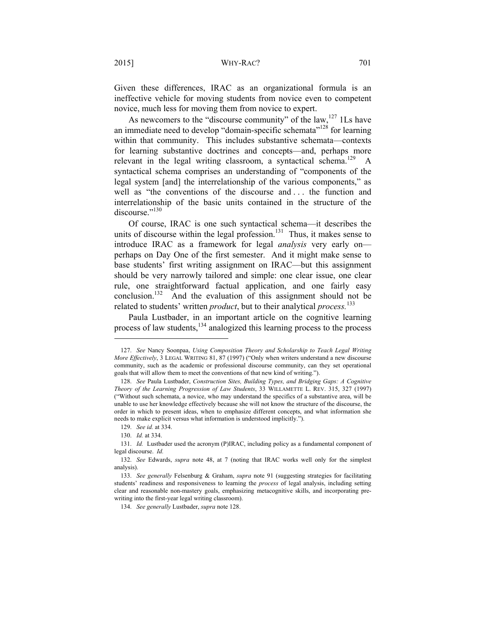Given these differences, IRAC as an organizational formula is an ineffective vehicle for moving students from novice even to competent novice, much less for moving them from novice to expert.

As newcomers to the "discourse community" of the law, $^{127}$  1Ls have an immediate need to develop "domain-specific schemata"<sup>128</sup> for learning within that community. This includes substantive schemata—contexts for learning substantive doctrines and concepts—and, perhaps more relevant in the legal writing classroom, a syntactical schema.<sup>129</sup> A syntactical schema comprises an understanding of "components of the legal system [and] the interrelationship of the various components," as well as "the conventions of the discourse and . . . the function and interrelationship of the basic units contained in the structure of the discourse."<sup>130</sup>

Of course, IRAC is one such syntactical schema—it describes the units of discourse within the legal profession.<sup>131</sup> Thus, it makes sense to introduce IRAC as a framework for legal *analysis* very early on perhaps on Day One of the first semester. And it might make sense to base students' first writing assignment on IRAC—but this assignment should be very narrowly tailored and simple: one clear issue, one clear rule, one straightforward factual application, and one fairly easy conclusion.<sup>132</sup> And the evaluation of this assignment should not be related to students' written *product*, but to their analytical *process.* 133

Paula Lustbader, in an important article on the cognitive learning process of law students,<sup>134</sup> analogized this learning process to the process

 <sup>127.</sup> *See* Nancy Soonpaa, *Using Composition Theory and Scholarship to Teach Legal Writing More Effectively*, 3 LEGAL WRITING 81, 87 (1997) ("Only when writers understand a new discourse community, such as the academic or professional discourse community, can they set operational goals that will allow them to meet the conventions of that new kind of writing.").

 <sup>128.</sup> *See* Paula Lustbader, *Construction Sites, Building Types, and Bridging Gaps: A Cognitive Theory of the Learning Progression of Law Students*, 33 WILLAMETTE L. REV. 315, 327 (1997) ("Without such schemata, a novice, who may understand the specifics of a substantive area, will be unable to use her knowledge effectively because she will not know the structure of the discourse, the order in which to present ideas, when to emphasize different concepts, and what information she needs to make explicit versus what information is understood implicitly.").

 <sup>129.</sup> *See id.* at 334.

 <sup>130.</sup> *Id.* at 334.

<sup>131.</sup> *Id.* Lustbader used the acronym (P)IRAC, including policy as a fundamental component of legal discourse. *Id.*

 <sup>132.</sup> *See* Edwards, *supra* note 48, at 7 (noting that IRAC works well only for the simplest analysis).

 <sup>133.</sup> *See generally* Felsenburg & Graham, *supra* note 91 (suggesting strategies for facilitating students' readiness and responsiveness to learning the *process* of legal analysis, including setting clear and reasonable non-mastery goals, emphasizing metacognitive skills, and incorporating prewriting into the first-year legal writing classroom).

 <sup>134.</sup> *See generally* Lustbader, *supra* note 128.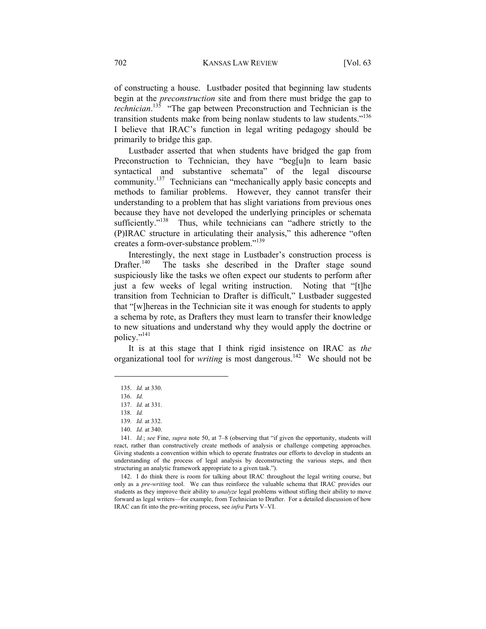of constructing a house. Lustbader posited that beginning law students begin at the *preconstruction* site and from there must bridge the gap to *technician*. 135 "The gap between Preconstruction and Technician is the transition students make from being nonlaw students to law students.<sup>"136</sup> I believe that IRAC's function in legal writing pedagogy should be primarily to bridge this gap.

Lustbader asserted that when students have bridged the gap from Preconstruction to Technician, they have "beg[u]n to learn basic syntactical and substantive schemata" of the legal discourse community.<sup>137</sup> Technicians can "mechanically apply basic concepts and methods to familiar problems. However, they cannot transfer their understanding to a problem that has slight variations from previous ones because they have not developed the underlying principles or schemata sufficiently."<sup>138</sup> Thus, while technicians can "adhere strictly to the (P)IRAC structure in articulating their analysis," this adherence "often creates a form-over-substance problem."139

Interestingly, the next stage in Lustbader's construction process is Drafter.<sup>140</sup> The tasks she described in the Drafter stage sound suspiciously like the tasks we often expect our students to perform after just a few weeks of legal writing instruction. Noting that "[t]he transition from Technician to Drafter is difficult," Lustbader suggested that "[w]hereas in the Technician site it was enough for students to apply a schema by rote, as Drafters they must learn to transfer their knowledge to new situations and understand why they would apply the doctrine or policy."141

It is at this stage that I think rigid insistence on IRAC as *the* organizational tool for *writing* is most dangerous.<sup>142</sup> We should not be

 <sup>135.</sup> *Id.* at 330.

 <sup>136.</sup> *Id.*

 <sup>137.</sup> *Id.* at 331.

 <sup>138.</sup> *Id.*

 <sup>139.</sup> *Id.* at 332.

 <sup>140.</sup> *Id.* at 340.

 <sup>141.</sup> *Id.*; *see* Fine, *supra* note 50, at 7–8 (observing that "if given the opportunity, students will react, rather than constructively create methods of analysis or challenge competing approaches. Giving students a convention within which to operate frustrates our efforts to develop in students an understanding of the process of legal analysis by deconstructing the various steps, and then structuring an analytic framework appropriate to a given task.").

 <sup>142.</sup> I do think there is room for talking about IRAC throughout the legal writing course, but only as a *pre-writing* tool. We can thus reinforce the valuable schema that IRAC provides our students as they improve their ability to *analyze* legal problems without stifling their ability to move forward as legal writers—for example, from Technician to Drafter. For a detailed discussion of how IRAC can fit into the pre-writing process, see *infra* Parts V–VI.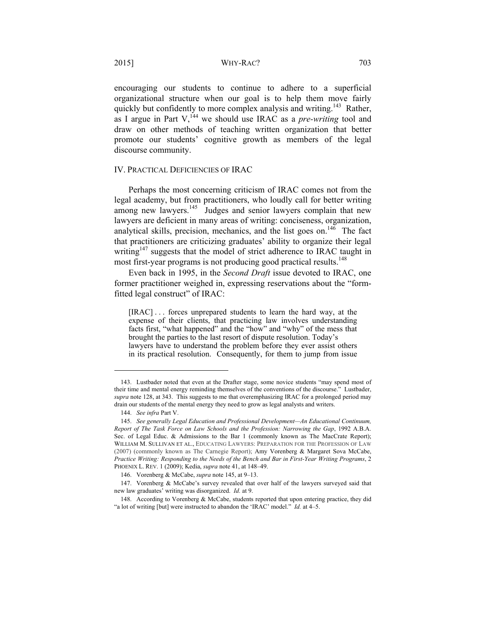encouraging our students to continue to adhere to a superficial organizational structure when our goal is to help them move fairly quickly but confidently to more complex analysis and writing.<sup>143</sup> Rather, as I argue in Part V,<sup>144</sup> we should use IRAC as a *pre-writing* tool and draw on other methods of teaching written organization that better promote our students' cognitive growth as members of the legal discourse community.

## IV. PRACTICAL DEFICIENCIES OF IRAC

Perhaps the most concerning criticism of IRAC comes not from the legal academy, but from practitioners, who loudly call for better writing among new lawyers.<sup>145</sup> Judges and senior lawyers complain that new lawyers are deficient in many areas of writing: conciseness, organization, analytical skills, precision, mechanics, and the list goes on.<sup>146</sup> The fact that practitioners are criticizing graduates' ability to organize their legal writing<sup>147</sup> suggests that the model of strict adherence to IRAC taught in most first-year programs is not producing good practical results.<sup>148</sup>

Even back in 1995, in the *Second Draft* issue devoted to IRAC, one former practitioner weighed in, expressing reservations about the "formfitted legal construct" of IRAC:

[IRAC] . . . forces unprepared students to learn the hard way, at the expense of their clients, that practicing law involves understanding facts first, "what happened" and the "how" and "why" of the mess that brought the parties to the last resort of dispute resolution. Today's lawyers have to understand the problem before they ever assist others in its practical resolution. Consequently, for them to jump from issue

 <sup>143.</sup> Lustbader noted that even at the Drafter stage, some novice students "may spend most of their time and mental energy reminding themselves of the conventions of the discourse." Lustbader, *supra* note 128, at 343. This suggests to me that overemphasizing IRAC for a prolonged period may drain our students of the mental energy they need to grow as legal analysts and writers.

 <sup>144.</sup> *See infra* Part V.

 <sup>145.</sup> *See generally Legal Education and Professional Development—An Educational Continuum, Report of The Task Force on Law Schools and the Profession: Narrowing the Gap*, 1992 A.B.A. Sec. of Legal Educ. & Admissions to the Bar 1 (commonly known as The MacCrate Report); WILLIAM M. SULLIVAN ET AL., EDUCATING LAWYERS: PREPARATION FOR THE PROFESSION OF LAW (2007) (commonly known as The Carnegie Report); Amy Vorenberg & Margaret Sova McCabe, *Practice Writing: Responding to the Needs of the Bench and Bar in First-Year Writing Programs*, 2 PHOENIX L. REV. 1 (2009); Kedia, *supra* note 41, at 148–49.

 <sup>146.</sup> Vorenberg & McCabe, *supra* note 145, at 9–13.

 <sup>147.</sup> Vorenberg & McCabe's survey revealed that over half of the lawyers surveyed said that new law graduates' writing was disorganized. *Id.* at 9.

 <sup>148.</sup> According to Vorenberg & McCabe, students reported that upon entering practice, they did "a lot of writing [but] were instructed to abandon the 'IRAC' model." *Id.* at 4–5.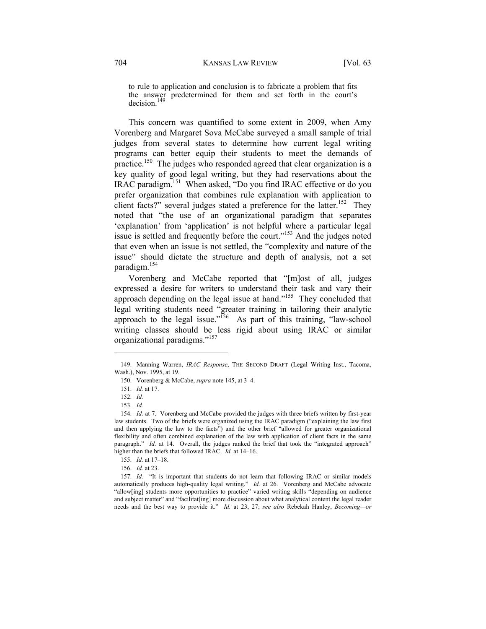to rule to application and conclusion is to fabricate a problem that fits the answer predetermined for them and set forth in the court's decision.

This concern was quantified to some extent in 2009, when Amy Vorenberg and Margaret Sova McCabe surveyed a small sample of trial judges from several states to determine how current legal writing programs can better equip their students to meet the demands of practice.150 The judges who responded agreed that clear organization is a key quality of good legal writing, but they had reservations about the IRAC paradigm.151 When asked, "Do you find IRAC effective or do you prefer organization that combines rule explanation with application to client facts?" several judges stated a preference for the latter.<sup>152</sup> They noted that "the use of an organizational paradigm that separates 'explanation' from 'application' is not helpful where a particular legal issue is settled and frequently before the court."<sup>153</sup> And the judges noted that even when an issue is not settled, the "complexity and nature of the issue" should dictate the structure and depth of analysis, not a set paradigm.<sup>154</sup>

Vorenberg and McCabe reported that "[m]ost of all, judges expressed a desire for writers to understand their task and vary their approach depending on the legal issue at hand."155 They concluded that legal writing students need "greater training in tailoring their analytic approach to the legal issue."<sup>156</sup> As part of this training, "law-school writing classes should be less rigid about using IRAC or similar organizational paradigms."<sup>157</sup>

 <sup>149.</sup> Manning Warren, *IRAC Response*, THE SECOND DRAFT (Legal Writing Inst., Tacoma, Wash.), Nov. 1995, at 19.

 <sup>150.</sup> Vorenberg & McCabe, *supra* note 145, at 3–4.

 <sup>151.</sup> *Id.* at 17.

 <sup>152.</sup> *Id.* 

 <sup>153.</sup> *Id.*

<sup>154.</sup> *Id.* at 7. Vorenberg and McCabe provided the judges with three briefs written by first-year law students. Two of the briefs were organized using the IRAC paradigm ("explaining the law first and then applying the law to the facts") and the other brief "allowed for greater organizational flexibility and often combined explanation of the law with application of client facts in the same paragraph." *Id.* at 14. Overall, the judges ranked the brief that took the "integrated approach" higher than the briefs that followed IRAC. *Id.* at 14–16.

 <sup>155.</sup> *Id.* at 17–18.

 <sup>156.</sup> *Id.* at 23.

 <sup>157.</sup> *Id.* "It is important that students do not learn that following IRAC or similar models automatically produces high-quality legal writing." *Id.* at 26. Vorenberg and McCabe advocate "allow[ing] students more opportunities to practice" varied writing skills "depending on audience and subject matter" and "facilitat[ing] more discussion about what analytical content the legal reader needs and the best way to provide it." *Id.* at 23, 27; *see also* Rebekah Hanley, *Becoming—or*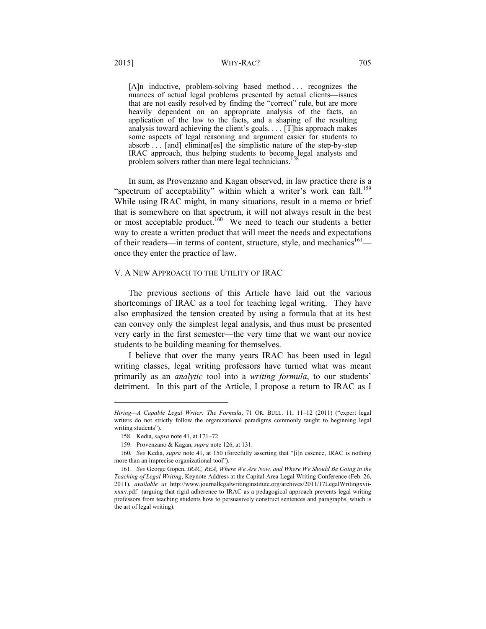[A]n inductive, problem-solving based method ... recognizes the nuances of actual legal problems presented by actual clients—issues that are not easily resolved by finding the "correct" rule, but are more heavily dependent on an appropriate analysis of the facts, an application of the law to the facts, and a shaping of the resulting analysis toward achieving the client's goals. . . . [T]his approach makes some aspects of legal reasoning and argument easier for students to absorb . . . [and] eliminat[es] the simplistic nature of the step-by-step IRAC approach, thus helping students to become legal analysts and problem solvers rather than mere legal technicians.

In sum, as Provenzano and Kagan observed, in law practice there is a "spectrum of acceptability" within which a writer's work can fall.<sup>159</sup> While using IRAC might, in many situations, result in a memo or brief that is somewhere on that spectrum, it will not always result in the best or most acceptable product.<sup>160</sup> We need to teach our students a better way to create a written product that will meet the needs and expectations of their readers—in terms of content, structure, style, and mechanics<sup>161</sup> once they enter the practice of law.

# V. A NEW APPROACH TO THE UTILITY OF IRAC

The previous sections of this Article have laid out the various shortcomings of IRAC as a tool for teaching legal writing.They have also emphasized the tension created by using a formula that at its best can convey only the simplest legal analysis, and thus must be presented very early in the first semester—the very time that we want our novice students to be building meaning for themselves.

I believe that over the many years IRAC has been used in legal writing classes, legal writing professors have turned what was meant primarily as an *analytic* tool into a *writing formula*, to our students' detriment. In this part of the Article, I propose a return to IRAC as I

*Hiring—A Capable Legal Writer: The Formula*, 71 OR. BULL. 11, 11–12 (2011) ("expert legal writers do not strictly follow the organizational paradigms commonly taught to beginning legal writing students").

 <sup>158.</sup> Kedia, *supra* note 41, at 171–72.

 <sup>159.</sup> Provenzano & Kagan, *supra* note 126, at 131.

<sup>160</sup>*. See* Kedia, *supra* note 41, at 150 (forcefully asserting that "[i]n essence, IRAC is nothing more than an imprecise organizational tool").

 <sup>161.</sup> *See* George Gopen, *IRAC, REA, Where We Are Now, and Where We Should Be Going in the Teaching of Legal Writing*, Keynote Address at the Capital Area Legal Writing Conference (Feb. 26, 2011), *available at* http://www.journallegalwritinginstitute.org/archives/2011/17LegalWritingxviixxxv.pdf (arguing that rigid adherence to IRAC as a pedagogical approach prevents legal writing professors from teaching students how to persuasively construct sentences and paragraphs, which is the art of legal writing).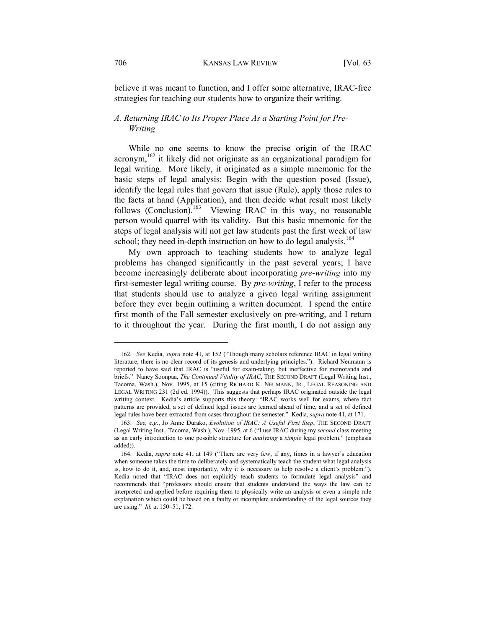believe it was meant to function, and I offer some alternative, IRAC-free strategies for teaching our students how to organize their writing.

# *A. Returning IRAC to Its Proper Place As a Starting Point for Pre-Writing*

While no one seems to know the precise origin of the IRAC  $\arccos m$ ,<sup>162</sup> it likely did not originate as an organizational paradigm for legal writing. More likely, it originated as a simple mnemonic for the basic steps of legal analysis: Begin with the question posed (Issue), identify the legal rules that govern that issue (Rule), apply those rules to the facts at hand (Application), and then decide what result most likely follows (Conclusion).<sup>163</sup> Viewing IRAC in this way, no reasonable person would quarrel with its validity. But this basic mnemonic for the steps of legal analysis will not get law students past the first week of law school; they need in-depth instruction on how to do legal analysis.<sup>164</sup>

My own approach to teaching students how to analyze legal problems has changed significantly in the past several years; I have become increasingly deliberate about incorporating *pre-writing* into my first-semester legal writing course. By *pre-writing*, I refer to the process that students should use to analyze a given legal writing assignment before they ever begin outlining a written document. I spend the entire first month of the Fall semester exclusively on pre-writing, and I return to it throughout the year. During the first month, I do not assign any

 <sup>162.</sup> *See* Kedia, *supra* note 41, at 152 ("Though many scholars reference IRAC in legal writing literature, there is no clear record of its genesis and underlying principles."). Richard Neumann is reported to have said that IRAC is "useful for exam-taking, but ineffective for memoranda and briefs." Nancy Soonpaa, *The Continued Vitality of IRAC*, THE SECOND DRAFT (Legal Writing Inst., Tacoma, Wash.), Nov. 1995, at 15 (citing RICHARD K. NEUMANN, JR., LEGAL REASONING AND LEGAL WRITING 231 (2d ed. 1994)). This suggests that perhaps IRAC originated outside the legal writing context. Kedia's article supports this theory: "IRAC works well for exams, where fact patterns are provided, a set of defined legal issues are learned ahead of time, and a set of defined legal rules have been extracted from cases throughout the semester." Kedia, *supra* note 41, at 171.

 <sup>163.</sup> *See, e.g.*, Jo Anne Durako, *Evolution of IRAC: A Useful First Step*, THE SECOND DRAFT (Legal Writing Inst., Tacoma, Wash.), Nov. 1995, at 6 ("I use IRAC during my *second* class meeting as an early introduction to one possible structure for *analyzing* a *simple* legal problem." (emphasis added)).

 <sup>164.</sup> Kedia, *supra* note 41, at 149 ("There are very few, if any, times in a lawyer's education when someone takes the time to deliberately and systematically teach the student what legal analysis is, how to do it, and, most importantly, why it is necessary to help resolve a client's problem."). Kedia noted that "IRAC does not explicitly teach students to formulate legal analysis" and recommends that "professors should ensure that students understand the ways the law can be interpreted and applied before requiring them to physically write an analysis or even a simple rule explanation which could be based on a faulty or incomplete understanding of the legal sources they are using." *Id.* at 150–51, 172.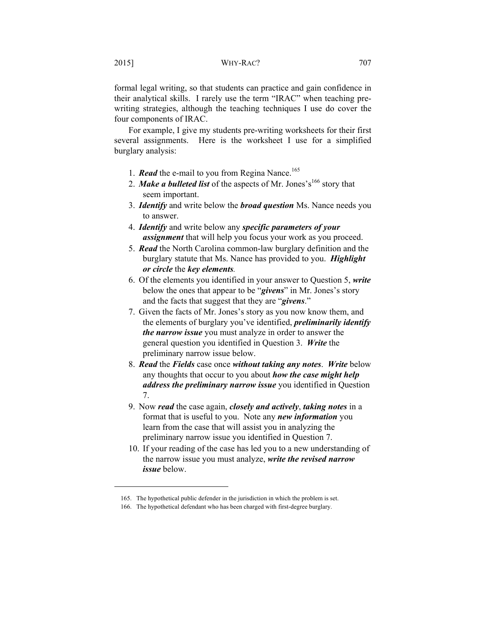formal legal writing, so that students can practice and gain confidence in their analytical skills. I rarely use the term "IRAC" when teaching prewriting strategies, although the teaching techniques I use do cover the four components of IRAC.

For example, I give my students pre-writing worksheets for their first several assignments. Here is the worksheet I use for a simplified burglary analysis:

- 1. **Read** the e-mail to you from Regina Nance.<sup>165</sup>
- 2. *Make a bulleted list* of the aspects of Mr. Jones's<sup>166</sup> story that seem important.
- 3. *Identify* and write below the *broad question* Ms. Nance needs you to answer.
- 4. *Identify* and write below any *specific parameters of your assignment* that will help you focus your work as you proceed.
- 5. *Read* the North Carolina common-law burglary definition and the burglary statute that Ms. Nance has provided to you. *Highlight or circle* the *key elements.*
- 6. Of the elements you identified in your answer to Question 5, *write* below the ones that appear to be "*givens*" in Mr. Jones's story and the facts that suggest that they are "*givens*."
- 7. Given the facts of Mr. Jones's story as you now know them, and the elements of burglary you've identified, *preliminarily identify the narrow issue* you must analyze in order to answer the general question you identified in Question 3. *Write* the preliminary narrow issue below.
- 8. *Read* the *Fields* case once *without taking any notes*. *Write* below any thoughts that occur to you about *how the case might help address the preliminary narrow issue* you identified in Question 7.
- 9. Now *read* the case again, *closely and actively*, *taking notes* in a format that is useful to you. Note any *new information* you learn from the case that will assist you in analyzing the preliminary narrow issue you identified in Question 7.
- 10. If your reading of the case has led you to a new understanding of the narrow issue you must analyze, *write the revised narrow issue* below.

 <sup>165.</sup> The hypothetical public defender in the jurisdiction in which the problem is set.

 <sup>166.</sup> The hypothetical defendant who has been charged with first-degree burglary.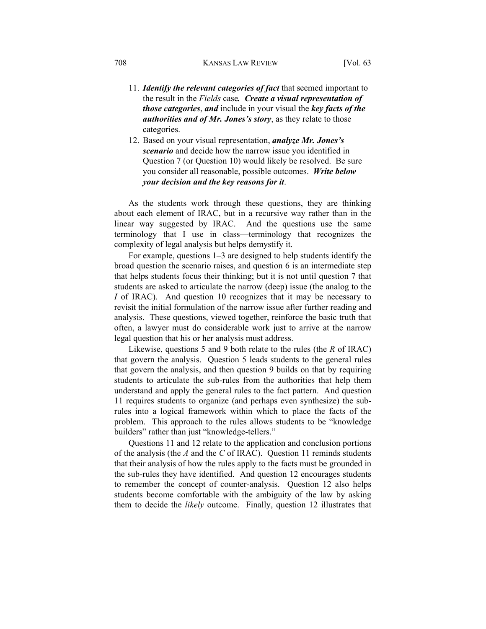- 11. *Identify the relevant categories of fact* that seemed important to the result in the *Fields* case*. Create a visual representation of those categories*, *and* include in your visual the *key facts of the authorities and of Mr. Jones's story*, as they relate to those categories.
- 12. Based on your visual representation, *analyze Mr. Jones's scenario* and decide how the narrow issue you identified in Question 7 (or Question 10) would likely be resolved. Be sure you consider all reasonable, possible outcomes. *Write below your decision and the key reasons for it*.

As the students work through these questions, they are thinking about each element of IRAC, but in a recursive way rather than in the linear way suggested by IRAC. And the questions use the same terminology that I use in class—terminology that recognizes the complexity of legal analysis but helps demystify it.

For example, questions 1–3 are designed to help students identify the broad question the scenario raises, and question 6 is an intermediate step that helps students focus their thinking; but it is not until question 7 that students are asked to articulate the narrow (deep) issue (the analog to the *I* of IRAC). And question 10 recognizes that it may be necessary to revisit the initial formulation of the narrow issue after further reading and analysis. These questions, viewed together, reinforce the basic truth that often, a lawyer must do considerable work just to arrive at the narrow legal question that his or her analysis must address.

Likewise, questions 5 and 9 both relate to the rules (the *R* of IRAC) that govern the analysis. Question 5 leads students to the general rules that govern the analysis, and then question 9 builds on that by requiring students to articulate the sub-rules from the authorities that help them understand and apply the general rules to the fact pattern. And question 11 requires students to organize (and perhaps even synthesize) the subrules into a logical framework within which to place the facts of the problem. This approach to the rules allows students to be "knowledge builders" rather than just "knowledge-tellers."

Questions 11 and 12 relate to the application and conclusion portions of the analysis (the *A* and the *C* of IRAC). Question 11 reminds students that their analysis of how the rules apply to the facts must be grounded in the sub-rules they have identified. And question 12 encourages students to remember the concept of counter-analysis. Question 12 also helps students become comfortable with the ambiguity of the law by asking them to decide the *likely* outcome. Finally, question 12 illustrates that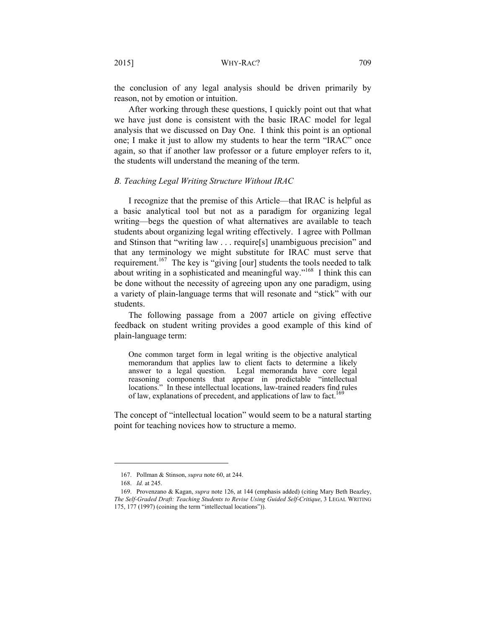the conclusion of any legal analysis should be driven primarily by reason, not by emotion or intuition.

After working through these questions, I quickly point out that what we have just done is consistent with the basic IRAC model for legal analysis that we discussed on Day One. I think this point is an optional one; I make it just to allow my students to hear the term "IRAC" once again, so that if another law professor or a future employer refers to it, the students will understand the meaning of the term.

# *B. Teaching Legal Writing Structure Without IRAC*

I recognize that the premise of this Article—that IRAC is helpful as a basic analytical tool but not as a paradigm for organizing legal writing—begs the question of what alternatives are available to teach students about organizing legal writing effectively. I agree with Pollman and Stinson that "writing law . . . require[s] unambiguous precision" and that any terminology we might substitute for IRAC must serve that requirement.<sup>167</sup> The key is "giving [our] students the tools needed to talk about writing in a sophisticated and meaningful way."168 I think this can be done without the necessity of agreeing upon any one paradigm, using a variety of plain-language terms that will resonate and "stick" with our students.

The following passage from a 2007 article on giving effective feedback on student writing provides a good example of this kind of plain-language term:

One common target form in legal writing is the objective analytical memorandum that applies law to client facts to determine a likely answer to a legal question. Legal memoranda have core legal reasoning components that appear in predictable "intellectual locations." In these intellectual locations, law-trained readers find rules of law, explanations of precedent, and applications of law to fact.<sup>16</sup>

The concept of "intellectual location" would seem to be a natural starting point for teaching novices how to structure a memo.

 <sup>167.</sup> Pollman & Stinson, *supra* note 60, at 244.

 <sup>168.</sup> *Id.* at 245.

 <sup>169.</sup> Provenzano & Kagan, *supra* note 126, at 144 (emphasis added) (citing Mary Beth Beazley, *The Self-Graded Draft: Teaching Students to Revise Using Guided Self-Critique*, 3 LEGAL WRITING 175, 177 (1997) (coining the term "intellectual locations")).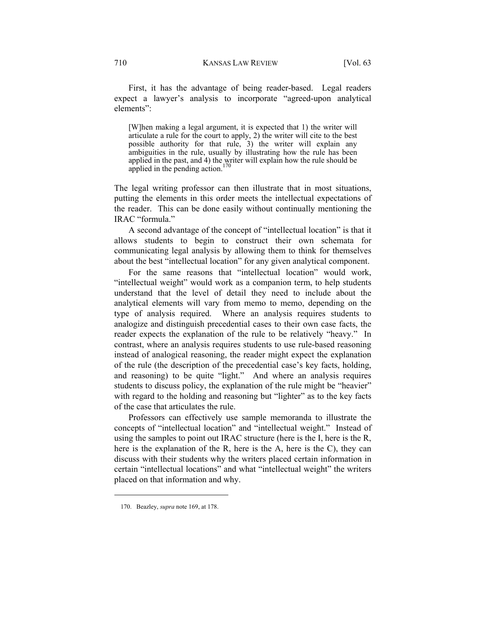First, it has the advantage of being reader-based. Legal readers expect a lawyer's analysis to incorporate "agreed-upon analytical elements":

[W]hen making a legal argument, it is expected that 1) the writer will articulate a rule for the court to apply, 2) the writer will cite to the best possible authority for that rule, 3) the writer will explain any ambiguities in the rule, usually by illustrating how the rule has been applied in the past, and 4) the writer will explain how the rule should be applied in the pending action.<sup>1</sup>

The legal writing professor can then illustrate that in most situations, putting the elements in this order meets the intellectual expectations of the reader. This can be done easily without continually mentioning the IRAC "formula."

A second advantage of the concept of "intellectual location" is that it allows students to begin to construct their own schemata for communicating legal analysis by allowing them to think for themselves about the best "intellectual location" for any given analytical component.

For the same reasons that "intellectual location" would work, "intellectual weight" would work as a companion term, to help students understand that the level of detail they need to include about the analytical elements will vary from memo to memo, depending on the type of analysis required. Where an analysis requires students to analogize and distinguish precedential cases to their own case facts, the reader expects the explanation of the rule to be relatively "heavy." In contrast, where an analysis requires students to use rule-based reasoning instead of analogical reasoning, the reader might expect the explanation of the rule (the description of the precedential case's key facts, holding, and reasoning) to be quite "light." And where an analysis requires students to discuss policy, the explanation of the rule might be "heavier" with regard to the holding and reasoning but "lighter" as to the key facts of the case that articulates the rule.

Professors can effectively use sample memoranda to illustrate the concepts of "intellectual location" and "intellectual weight." Instead of using the samples to point out IRAC structure (here is the I, here is the R, here is the explanation of the R, here is the A, here is the C), they can discuss with their students why the writers placed certain information in certain "intellectual locations" and what "intellectual weight" the writers placed on that information and why.

 <sup>170.</sup> Beazley, *supra* note 169, at 178.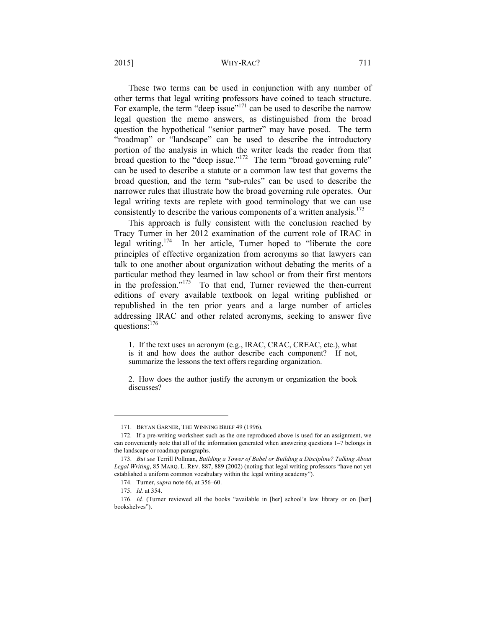These two terms can be used in conjunction with any number of other terms that legal writing professors have coined to teach structure. For example, the term "deep issue"<sup>171</sup> can be used to describe the narrow legal question the memo answers, as distinguished from the broad question the hypothetical "senior partner" may have posed. The term "roadmap" or "landscape" can be used to describe the introductory portion of the analysis in which the writer leads the reader from that broad question to the "deep issue."<sup>172</sup> The term "broad governing rule" can be used to describe a statute or a common law test that governs the broad question, and the term "sub-rules" can be used to describe the narrower rules that illustrate how the broad governing rule operates. Our legal writing texts are replete with good terminology that we can use consistently to describe the various components of a written analysis.<sup>173</sup>

This approach is fully consistent with the conclusion reached by Tracy Turner in her 2012 examination of the current role of IRAC in legal writing.174 In her article, Turner hoped to "liberate the core principles of effective organization from acronyms so that lawyers can talk to one another about organization without debating the merits of a particular method they learned in law school or from their first mentors in the profession."<sup>175</sup> To that end, Turner reviewed the then-current editions of every available textbook on legal writing published or republished in the ten prior years and a large number of articles addressing IRAC and other related acronyms, seeking to answer five questions:<sup>176</sup>

1. If the text uses an acronym (e.g., IRAC, CRAC, CREAC, etc.), what is it and how does the author describe each component? If not, summarize the lessons the text offers regarding organization.

2. How does the author justify the acronym or organization the book discusses?

 <sup>171.</sup> BRYAN GARNER, THE WINNING BRIEF 49 (1996).

 <sup>172.</sup> If a pre-writing worksheet such as the one reproduced above is used for an assignment, we can conveniently note that all of the information generated when answering questions 1–7 belongs in the landscape or roadmap paragraphs.

 <sup>173.</sup> *But see* Terrill Pollman, *Building a Tower of Babel or Building a Discipline? Talking About Legal Writing*, 85 MARQ. L. REV. 887, 889 (2002) (noting that legal writing professors "have not yet established a uniform common vocabulary within the legal writing academy").

 <sup>174.</sup> Turner, *supra* note 66, at 356–60.

 <sup>175.</sup> *Id.* at 354.

 <sup>176.</sup> *Id.* (Turner reviewed all the books "available in [her] school's law library or on [her] bookshelves").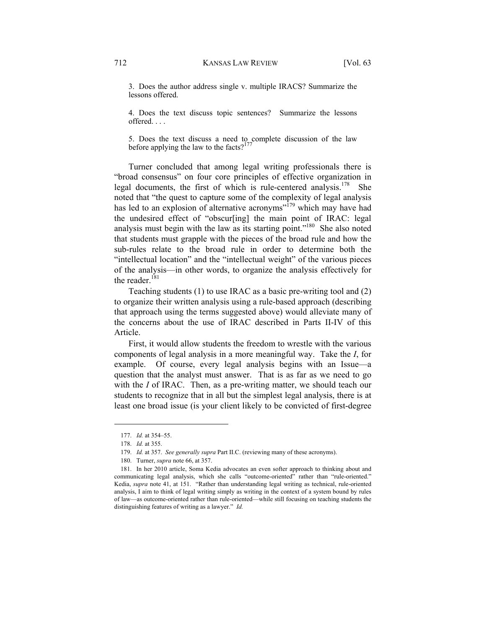3. Does the author address single v. multiple IRACS? Summarize the lessons offered.

4. Does the text discuss topic sentences? Summarize the lessons offered. . . .

5. Does the text discuss a need to complete discussion of the law before applying the law to the facts?

Turner concluded that among legal writing professionals there is "broad consensus" on four core principles of effective organization in legal documents, the first of which is rule-centered analysis.<sup>178</sup> She noted that "the quest to capture some of the complexity of legal analysis has led to an explosion of alternative acronyms"<sup>179</sup> which may have had the undesired effect of "obscur[ing] the main point of IRAC: legal analysis must begin with the law as its starting point."<sup>180</sup> She also noted that students must grapple with the pieces of the broad rule and how the sub-rules relate to the broad rule in order to determine both the "intellectual location" and the "intellectual weight" of the various pieces of the analysis—in other words, to organize the analysis effectively for the reader.<sup>181</sup>

Teaching students (1) to use IRAC as a basic pre-writing tool and (2) to organize their written analysis using a rule-based approach (describing that approach using the terms suggested above) would alleviate many of the concerns about the use of IRAC described in Parts II-IV of this Article.

First, it would allow students the freedom to wrestle with the various components of legal analysis in a more meaningful way. Take the *I*, for example. Of course, every legal analysis begins with an Issue—a question that the analyst must answer. That is as far as we need to go with the *I* of IRAC. Then, as a pre-writing matter, we should teach our students to recognize that in all but the simplest legal analysis, there is at least one broad issue (is your client likely to be convicted of first-degree

 <sup>177.</sup> *Id.* at 354–55.

 <sup>178.</sup> *Id.* at 355.

 <sup>179.</sup> *Id.* at 357. *See generally supra* Part II.C. (reviewing many of these acronyms).

 <sup>180.</sup> Turner, *supra* note 66, at 357.

 <sup>181.</sup> In her 2010 article, Soma Kedia advocates an even softer approach to thinking about and communicating legal analysis, which she calls "outcome-oriented" rather than "rule-oriented." Kedia, *supra* note 41, at 151. "Rather than understanding legal writing as technical, rule-oriented analysis, I aim to think of legal writing simply as writing in the context of a system bound by rules of law—as outcome-oriented rather than rule-oriented—while still focusing on teaching students the distinguishing features of writing as a lawyer." *Id.*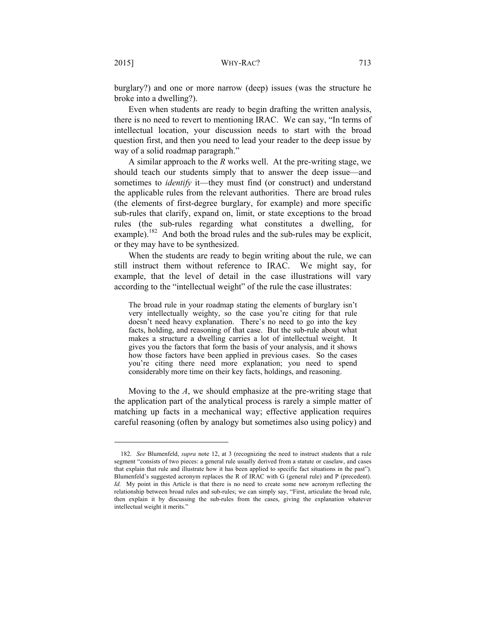burglary?) and one or more narrow (deep) issues (was the structure he broke into a dwelling?).

Even when students are ready to begin drafting the written analysis, there is no need to revert to mentioning IRAC. We can say, "In terms of intellectual location, your discussion needs to start with the broad question first, and then you need to lead your reader to the deep issue by way of a solid roadmap paragraph."

A similar approach to the *R* works well. At the pre-writing stage, we should teach our students simply that to answer the deep issue—and sometimes to *identify* it—they must find (or construct) and understand the applicable rules from the relevant authorities. There are broad rules (the elements of first-degree burglary, for example) and more specific sub-rules that clarify, expand on, limit, or state exceptions to the broad rules (the sub-rules regarding what constitutes a dwelling, for example).<sup>182</sup> And both the broad rules and the sub-rules may be explicit, or they may have to be synthesized.

When the students are ready to begin writing about the rule, we can still instruct them without reference to IRAC. We might say, for example, that the level of detail in the case illustrations will vary according to the "intellectual weight" of the rule the case illustrates:

The broad rule in your roadmap stating the elements of burglary isn't very intellectually weighty, so the case you're citing for that rule doesn't need heavy explanation. There's no need to go into the key facts, holding, and reasoning of that case. But the sub-rule about what makes a structure a dwelling carries a lot of intellectual weight. It gives you the factors that form the basis of your analysis, and it shows how those factors have been applied in previous cases. So the cases you're citing there need more explanation; you need to spend considerably more time on their key facts, holdings, and reasoning.

Moving to the *A*, we should emphasize at the pre-writing stage that the application part of the analytical process is rarely a simple matter of matching up facts in a mechanical way; effective application requires careful reasoning (often by analogy but sometimes also using policy) and

 <sup>182.</sup> *See* Blumenfeld, *supra* note 12, at 3 (recognizing the need to instruct students that a rule segment "consists of two pieces: a general rule usually derived from a statute or caselaw, and cases that explain that rule and illustrate how it has been applied to specific fact situations in the past"). Blumenfeld's suggested acronym replaces the R of IRAC with G (general rule) and P (precedent). *Id.* My point in this Article is that there is no need to create some new acronym reflecting the relationship between broad rules and sub-rules; we can simply say, "First, articulate the broad rule, then explain it by discussing the sub-rules from the cases, giving the explanation whatever intellectual weight it merits."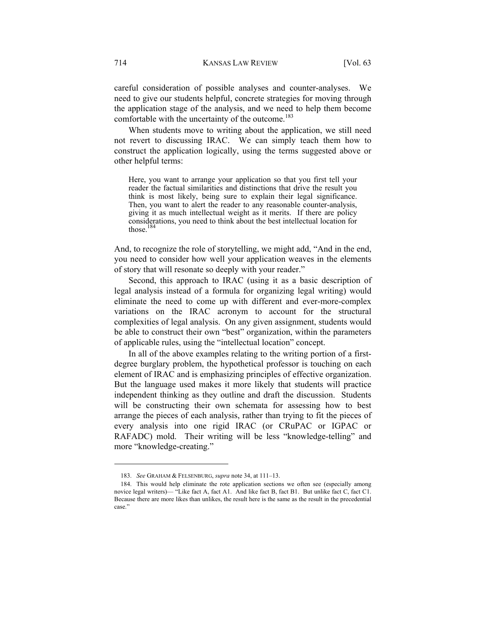careful consideration of possible analyses and counter-analyses. We need to give our students helpful, concrete strategies for moving through the application stage of the analysis, and we need to help them become comfortable with the uncertainty of the outcome. $183$ 

When students move to writing about the application, we still need not revert to discussing IRAC. We can simply teach them how to construct the application logically, using the terms suggested above or other helpful terms:

Here, you want to arrange your application so that you first tell your reader the factual similarities and distinctions that drive the result you think is most likely, being sure to explain their legal significance. Then, you want to alert the reader to any reasonable counter-analysis, giving it as much intellectual weight as it merits. If there are policy considerations, you need to think about the best intellectual location for those

And, to recognize the role of storytelling, we might add, "And in the end, you need to consider how well your application weaves in the elements of story that will resonate so deeply with your reader."

Second, this approach to IRAC (using it as a basic description of legal analysis instead of a formula for organizing legal writing) would eliminate the need to come up with different and ever-more-complex variations on the IRAC acronym to account for the structural complexities of legal analysis. On any given assignment, students would be able to construct their own "best" organization, within the parameters of applicable rules, using the "intellectual location" concept.

In all of the above examples relating to the writing portion of a firstdegree burglary problem, the hypothetical professor is touching on each element of IRAC and is emphasizing principles of effective organization. But the language used makes it more likely that students will practice independent thinking as they outline and draft the discussion. Students will be constructing their own schemata for assessing how to best arrange the pieces of each analysis, rather than trying to fit the pieces of every analysis into one rigid IRAC (or CRuPAC or IGPAC or RAFADC) mold. Their writing will be less "knowledge-telling" and more "knowledge-creating."

 <sup>183.</sup> *See* GRAHAM & FELSENBURG, *supra* note 34, at 111–13.

 <sup>184.</sup> This would help eliminate the rote application sections we often see (especially among novice legal writers)— "Like fact A, fact A1. And like fact B, fact B1. But unlike fact C, fact C1. Because there are more likes than unlikes, the result here is the same as the result in the precedential case."